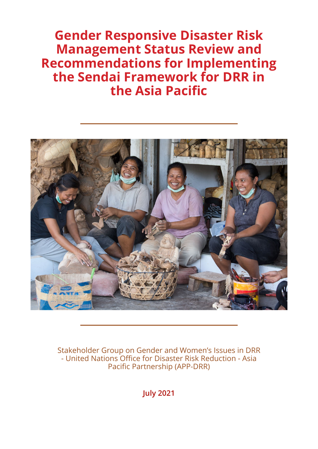**Gender Responsive Disaster Risk Management Status Review and Recommendations for Implementing the Sendai Framework for DRR in the Asia Pacific**



Stakeholder Group on Gender and Women's Issues in DRR - United Nations Office for Disaster Risk Reduction - Asia Pacific Partnership (APP-DRR)

**July 2021**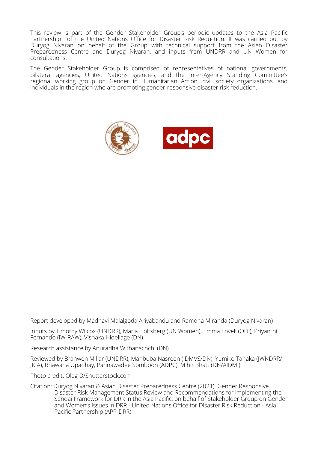This review is part of the Gender Stakeholder Group's periodic updates to the Asia Pacific Partnership of the United Nations Office for Disaster Risk Reduction. It was carried out by Duryog Nivaran on behalf of the Group with technical support from the Asian Disaster Preparedness Centre and Duryog Nivaran, and inputs from UNDRR and UN Women for consultations.

The Gender Stakeholder Group is comprised of representatives of national governments, bilateral agencies, United Nations agencies, and the Inter-Agency Standing Committee's regional working group on Gender in Humanitarian Action, civil society organizations, and individuals in the region who are promoting gender-responsive disaster risk reduction.



Report developed by Madhavi Malalgoda Ariyabandu and Ramona Miranda (Duryog Nivaran)

Inputs by Timothy Wilcox (UNDRR), Maria Holtsberg (UN Women), Emma Lovell (ODI), Priyanthi Fernando (IW-RAW), Vishaka Hidellage (DN)

Research assistance by Anuradha Withanachchi (DN)

Reviewed by Branwen Millar (UNDRR), Mahbuba Nasreen (IDMVS/DN), Yumiko Tanaka (JWNDRR/ JICA), Bhawana Upadhay, Pannawadee Somboon (ADPC), Mihir Bhatt (DN/AIDMI)

Photo credit: Oleg D/Shutterstock.com

Citation: Duryog Nivaran & Asian Disaster Preparedness Centre (2021). Gender Responsive Disaster Risk Management Status Review and Recommendations for implementing the Sendai Framework for DRR in the Asia Pacific, on behalf of Stakeholder Group on Gender and Women's Issues in DRR - United Nations Office for Disaster Risk Reduction - Asia Pacific Partnership (APP-DRR)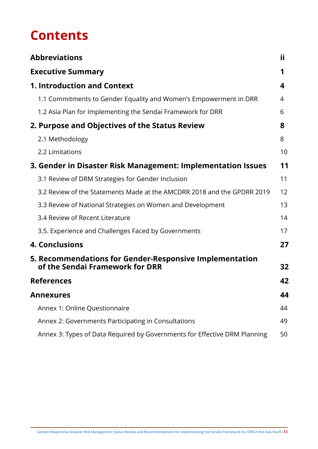# **Contents**

| <b>Abbreviations</b>                                                                       | ii |
|--------------------------------------------------------------------------------------------|----|
| <b>Executive Summary</b>                                                                   | 1  |
| <b>1. Introduction and Context</b>                                                         | 4  |
| 1.1 Commitments to Gender Equality and Women's Empowerment in DRR                          | 4  |
| 1.2 Asia Plan for Implementing the Sendai Framework for DRR                                | 6  |
| 2. Purpose and Objectives of the Status Review                                             | 8  |
| 2.1 Methodology                                                                            | 8  |
| 2.2 Limitations                                                                            | 10 |
| 3. Gender in Disaster Risk Management: Implementation Issues                               | 11 |
| 3.1 Review of DRM Strategies for Gender Inclusion                                          | 11 |
| 3.2 Review of the Statements Made at the AMCDRR 2018 and the GPDRR 2019                    | 12 |
| 3.3 Review of National Strategies on Women and Development                                 | 13 |
| 3.4 Review of Recent Literature                                                            | 14 |
| 3.5. Experience and Challenges Faced by Governments                                        | 17 |
| <b>4. Conclusions</b>                                                                      | 27 |
| 5. Recommendations for Gender-Responsive Implementation<br>of the Sendai Framework for DRR | 32 |
| <b>References</b>                                                                          | 42 |
| <b>Annexures</b>                                                                           | 44 |
| Annex 1: Online Questionnaire                                                              | 44 |
| Annex 2: Governments Participating in Consultations                                        | 49 |
| Annex 3: Types of Data Required by Governments for Effective DRM Planning                  | 50 |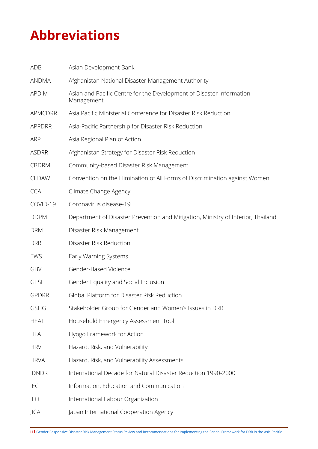# <span id="page-3-0"></span>**Abbreviations**

| ADB            | Asian Development Bank                                                             |
|----------------|------------------------------------------------------------------------------------|
| <b>ANDMA</b>   | Afghanistan National Disaster Management Authority                                 |
| <b>APDIM</b>   | Asian and Pacific Centre for the Development of Disaster Information<br>Management |
| <b>APMCDRR</b> | Asia Pacific Ministerial Conference for Disaster Risk Reduction                    |
| <b>APPDRR</b>  | Asia-Pacific Partnership for Disaster Risk Reduction                               |
| <b>ARP</b>     | Asia Regional Plan of Action                                                       |
| <b>ASDRR</b>   | Afghanistan Strategy for Disaster Risk Reduction                                   |
| <b>CBDRM</b>   | Community-based Disaster Risk Management                                           |
| CEDAW          | Convention on the Elimination of All Forms of Discrimination against Women         |
| <b>CCA</b>     | Climate Change Agency                                                              |
| COVID-19       | Coronavirus disease-19                                                             |
| <b>DDPM</b>    | Department of Disaster Prevention and Mitigation, Ministry of Interior, Thailand   |
| <b>DRM</b>     | Disaster Risk Management                                                           |
| <b>DRR</b>     | Disaster Risk Reduction                                                            |
| EWS            | Early Warning Systems                                                              |
| GBV            | Gender-Based Violence                                                              |
| <b>GESI</b>    | Gender Equality and Social Inclusion                                               |
| <b>GPDRR</b>   | Global Platform for Disaster Risk Reduction                                        |
| <b>GSHG</b>    | Stakeholder Group for Gender and Women's Issues in DRR                             |
| <b>HEAT</b>    | Household Emergency Assessment Tool                                                |
| <b>HFA</b>     | Hyogo Framework for Action                                                         |
| <b>HRV</b>     | Hazard, Risk, and Vulnerability                                                    |
| <b>HRVA</b>    | Hazard, Risk, and Vulnerability Assessments                                        |
| <b>IDNDR</b>   | International Decade for Natural Disaster Reduction 1990-2000                      |
| <b>IEC</b>     | Information, Education and Communication                                           |
| ILO            | International Labour Organization                                                  |
| JICA           | Japan International Cooperation Agency                                             |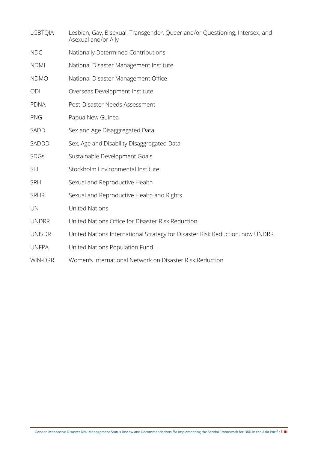| <b>LGBTQIA</b> | Lesbian, Gay, Bisexual, Transgender, Queer and/or Questioning, Intersex, and<br>Asexual and/or Ally |
|----------------|-----------------------------------------------------------------------------------------------------|
| <b>NDC</b>     | Nationally Determined Contributions                                                                 |
| <b>NDMI</b>    | National Disaster Management Institute                                                              |
| <b>NDMO</b>    | National Disaster Management Office                                                                 |
| ODI            | Overseas Development Institute                                                                      |
| <b>PDNA</b>    | Post-Disaster Needs Assessment                                                                      |
| PNG            | Papua New Guinea                                                                                    |
| <b>SADD</b>    | Sex and Age Disaggregated Data                                                                      |
| SADDD          | Sex, Age and Disability Disaggregated Data                                                          |
| <b>SDGs</b>    | Sustainable Development Goals                                                                       |
| <b>SEI</b>     | Stockholm Environmental Institute                                                                   |
| <b>SRH</b>     | Sexual and Reproductive Health                                                                      |
| <b>SRHR</b>    | Sexual and Reproductive Health and Rights                                                           |
| UN             | <b>United Nations</b>                                                                               |
| <b>UNDRR</b>   | United Nations Office for Disaster Risk Reduction                                                   |
| <b>UNISDR</b>  | United Nations International Strategy for Disaster Risk Reduction, now UNDRR                        |
| <b>UNFPA</b>   | United Nations Population Fund                                                                      |
| <b>WIN-DRR</b> | Women's International Network on Disaster Risk Reduction                                            |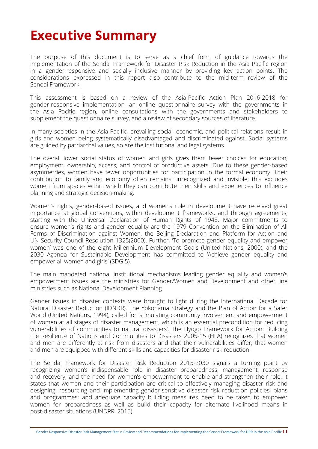# <span id="page-5-0"></span>**Executive Summary**

The purpose of this document is to serve as a chief form of guidance towards the implementation of the Sendai Framework for Disaster Risk Reduction in the Asia Pacific region in a gender-responsive and socially inclusive manner by providing key action points. The considerations expressed in this report also contribute to the mid-term review of the Sendai Framework.

This assessment is based on a review of the Asia-Pacific Action Plan 2016-2018 for gender-responsive implementation, an online questionnaire survey with the governments in the Asia Pacific region, online consultations with the governments and stakeholders to supplement the questionnaire survey, and a review of secondary sources of literature.

In many societies in the Asia-Pacific, prevailing social, economic, and political relations result in girls and women being systematically disadvantaged and discriminated against. Social systems are guided by patriarchal values, so are the institutional and legal systems.

The overall lower social status of women and girls gives them fewer choices for education, employment, ownership, access, and control of productive assets. Due to these gender-based asymmetries, women have fewer opportunities for participation in the formal economy. Their contribution to family and economy often remains unrecognized and invisible; this excludes women from spaces within which they can contribute their skills and experiences to influence planning and strategic decision-making.

Women's rights, gender-based issues, and women's role in development have received great importance at global conventions, within development frameworks, and through agreements, starting with the Universal Declaration of Human Rights of 1948. Major commitments to ensure women's rights and gender equality are the 1979 Convention on the Elimination of All Forms of Discrimination against Women, the Beijing Declaration and Platform for Action and UN Security Council Resolution 1325(2000). Further, 'To promote gender equality and empower women' was one of the eight Millennium Development Goals (United Nations, 2000), and the 2030 Agenda for Sustainable Development has committed to 'Achieve gender equality and empower all women and girls' (SDG 5).

The main mandated national institutional mechanisms leading gender equality and women's empowerment issues are the ministries for Gender/Women and Development and other line ministries such as National Development Planning.

Gender issues in disaster contexts were brought to light during the International Decade for Natural Disaster Reduction (IDNDR). The Yokohama Strategy and the Plan of Action for a Safer World (United Nations, 1994), called for 'stimulating community involvement and empowerment of women at all stages of disaster management, which is an essential precondition for reducing vulnerabilities of communities to natural disasters'. The Hyogo Framework for Action: Building the Resilience of Nations and Communities to Disasters 2005-15 (HFA) recognizes that women and men are differently at risk from disasters and that their vulnerabilities differ; that women and men are equipped with different skills and capacities for disaster risk reduction.

The Sendai Framework for Disaster Risk Reduction 2015-2030 signals a turning point by recognizing women's indispensable role in disaster preparedness, management, response and recovery, and the need for women's empowerment to enable and strengthen their role. It states that women and their participation are critical to effectively managing disaster risk and designing, resourcing and implementing gender-sensitive disaster risk reduction policies, plans and programmes; and adequate capacity building measures need to be taken to empower women for preparedness as well as build their capacity for alternate livelihood means in post-disaster situations (UNDRR, 2015).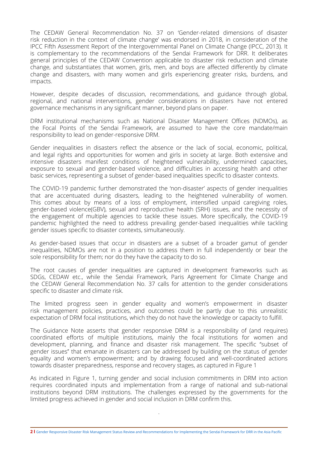The CEDAW General Recommendation No. 37 on 'Gender-related dimensions of disaster risk reduction in the context of climate change' was endorsed in 2018, in consideration of the IPCC Fifth Assessment Report of the Intergovernmental Panel on Climate Change (IPCC, 2013). It is complementary to the recommendations of the Sendai Framework for DRR. It deliberates general principles of the CEDAW Convention applicable to disaster risk reduction and climate change, and substantiates that women, girls, men, and boys are affected differently by climate change and disasters, with many women and girls experiencing greater risks, burdens, and impacts.

However, despite decades of discussion, recommendations, and guidance through global, regional, and national interventions, gender considerations in disasters have not entered governance mechanisms in any significant manner, beyond plans on paper.

DRM institutional mechanisms such as National Disaster Management Offices (NDMOs), as the Focal Points of the Sendai Framework, are assumed to have the core mandate/main responsibility to lead on gender-responsive DRM.

Gender inequalities in disasters reflect the absence or the lack of social, economic, political, and legal rights and opportunities for women and girls in society at large. Both extensive and intensive disasters manifest conditions of heightened vulnerability, undermined capacities, exposure to sexual and gender-based violence, and difficulties in accessing health and other basic services, representing a subset of gender-based inequalities specific to disaster contexts.

The COVID-19 pandemic further demonstrated the 'non-disaster' aspects of gender inequalities that are accentuated during disasters, leading to the heightened vulnerability of women. This comes about by means of a loss of employment, intensified unpaid caregiving roles, gender-based violence(GBV), sexual and reproductive health (SRH) issues, and the necessity of the engagement of multiple agencies to tackle these issues. More specifically, the COVID-19 pandemic highlighted the need to address prevailing gender-based inequalities while tackling gender issues specific to disaster contexts, simultaneously.

As gender-based issues that occur in disasters are a subset of a broader gamut of gender inequalities, NDMOs are not in a position to address them in full independently or bear the sole responsibility for them; nor do they have the capacity to do so.

The root causes of gender inequalities are captured in development frameworks such as SDGs, CEDAW etc., while the Sendai Framework, Paris Agreement for Climate Change and the CEDAW General Recommendation No. 37 calls for attention to the gender considerations specific to disaster and climate risk.

The limited progress seen in gender equality and women's empowerment in disaster risk management policies, practices, and outcomes could be partly due to this unrealistic expectation of DRM focal institutions, which they do not have the knowledge or capacity to fulfill.

The Guidance Note asserts that gender responsive DRM is a responsibility of (and requires) coordinated efforts of multiple institutions, mainly the focal institutions for women and development, planning, and finance and disaster risk management. The specific ''subset of gender issues'' that emanate in disasters can be addressed by building on the status of gender equality and women's empowerment; and by drawing focused and well-coordinated actions towards disaster preparedness, response and recovery stages, as captured in Figure 1

As indicated in Figure 1, turning gender and social inclusion commitments in DRM into action requires coordinated inputs and implementation from a range of national and sub-national institutions beyond DRM institutions. The challenges expressed by the governments for the limited progress achieved in gender and social inclusion in DRM confirm this.

.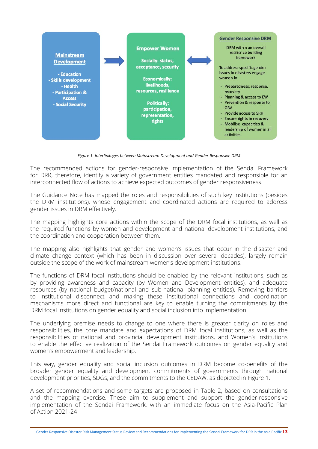

*Figure 1: Interlinkages between Mainstream Development and Gender Responsive DRM*

The recommended actions for gender-responsive implementation of the Sendai Framework for DRR, therefore, identify a variety of government entities mandated and responsible for an interconnected flow of actions to achieve expected outcomes of gender responsiveness.

The Guidance Note has mapped the roles and responsibilities of such key institutions (besides the DRM institutions), whose engagement and coordinated actions are required to address gender issues in DRM effectively.

The mapping highlights core actions within the scope of the DRM focal institutions, as well as the required functions by women and development and national development institutions, and the coordination and cooperation between them.

The mapping also highlights that gender and women's issues that occur in the disaster and climate change context (which has been in discussion over several decades), largely remain outside the scope of the work of mainstream women's development institutions.

The functions of DRM focal institutions should be enabled by the relevant institutions, such as by providing awareness and capacity (by Women and Development entities), and adequate resources (by national budget/national and sub-national planning entities). Removing barriers to institutional disconnect and making these institutional connections and coordination mechanisms more direct and functional are key to enable turning the commitments by the DRM focal institutions on gender equality and social inclusion into implementation.

The underlying premise needs to change to one where there is greater clarity on roles and responsibilities, the core mandate and expectations of DRM focal institutions, as well as the responsibilities of national and provincial development institutions, and Women's institutions to enable the effective realization of the Sendai Framework outcomes on gender equality and women's empowerment and leadership.

This way, gender equality and social inclusion outcomes in DRM become co-benefits of the broader gender equality and development commitments of governments through national development priorities, SDGs, and the commitments to the CEDAW, as depicted in Figure 1.

A set of recommendations and some targets are proposed in Table 2, based on consultations and the mapping exercise. These aim to supplement and support the gender-responsive implementation of the Sendai Framework, with an immediate focus on the Asia-Pacific Plan of Action 2021-24

Gender Responsive Disaster Risk Management Status Review and Recommendations for Implementing the Sendai Framework for DRR in the Asia Pacific **l 3**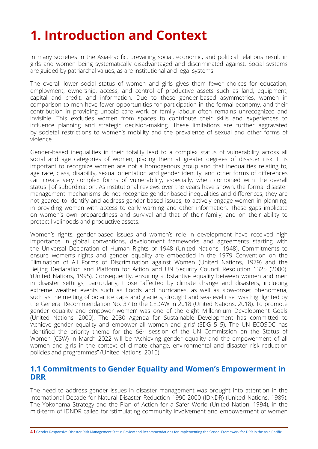# <span id="page-8-0"></span>**1. Introduction and Context**

In many societies in the Asia-Pacific, prevailing social, economic, and political relations result in girls and women being systematically disadvantaged and discriminated against. Social systems are guided by patriarchal values, as are institutional and legal systems.

The overall lower social status of women and girls gives them fewer choices for education, employment, ownership, access, and control of productive assets such as land, equipment, capital and credit, and information. Due to these gender-based asymmetries, women in comparison to men have fewer opportunities for participation in the formal economy, and their contribution in providing unpaid care work or family labour often remains unrecognized and invisible. This excludes women from spaces to contribute their skills and experiences to influence planning and strategic decision-making. These limitations are further aggravated by societal restrictions to women's mobility and the prevalence of sexual and other forms of violence.

Gender-based inequalities in their totality lead to a complex status of vulnerability across all social and age categories of women, placing them at greater degrees of disaster risk. It is important to recognize women are not a homogenous group and that inequalities relating to, age race, class, disability, sexual orientation and gender identity, and other forms of differences can create very complex forms of vulnerability, especially, when combined with the overall status |of subordination. As institutional reviews over the years have shown, the formal disaster management mechanisms do not recognize gender-based inequalities and differences, they are not geared to identify and address gender-based issues, to actively engage women in planning, in providing women with access to early warning and other information. These gaps implicate on women's own preparedness and survival and that of their family, and on their ability to protect livelihoods and productive assets.

Women's rights, gender-based issues and women's role in development have received high importance in global conventions, development frameworks and agreements starting with the Universal Declaration of Human Rights of 1948 (United Nations, 1948). Commitments to ensure women's rights and gender equality are embedded in the 1979 Convention on the Elimination of All Forms of Discrimination against Women (United Nations, 1979) and the Beijing Declaration and Platform for Action and UN Security Council Resolution 1325 (2000). '(United Nations, 1995). Consequently, ensuring substantive equality between women and men in disaster settings, particularly, those "affected by climate change and disasters, including extreme weather events such as floods and hurricanes, as well as slow-onset phenomena, such as the melting of polar ice caps and glaciers, drought and sea-level rise" was highlighted by the General Recommendation No. 37 to the CEDAW in 2018 (United Nations, 2018). To promote gender equality and empower women' was one of the eight Millennium Development Goals (United Nations, 2000). The 2030 Agenda for Sustainable Development has committed to 'Achieve gender equality and empower all women and girls' (SDG 5 5). The UN ECOSOC has identified the priority theme for the 66<sup>th</sup> session of the UN Commission on the Status of Women (CSW) in March 2022 will be "Achieving gender equality and the empowerment of all women and girls in the context of climate change, environmental and disaster risk reduction policies and programmes" (United Nations, 2015).

## **1.1 Commitments to Gender Equality and Women's Empowerment in DRR**

The need to address gender issues in disaster management was brought into attention in the International Decade for Natural Disaster Reduction 1990-2000 (IDNDR) (United Nations, 1989). The Yokohama Strategy and the Plan of Action for a Safer World (United Nation, 1994), in the mid-term of IDNDR called for 'stimulating community involvement and empowerment of women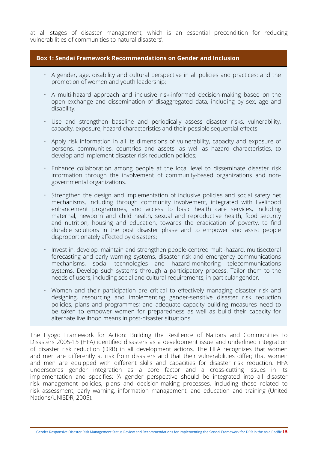at all stages of disaster management, which is an essential precondition for reducing vulnerabilities of communities to natural disasters'.

## **Box 1: Sendai Framework Recommendations on Gender and Inclusion**

- A gender, age, disability and cultural perspective in all policies and practices; and the promotion of women and youth leadership;
- A multi-hazard approach and inclusive risk-informed decision-making based on the open exchange and dissemination of disaggregated data, including by sex, age and disability;
- Use and strengthen baseline and periodically assess disaster risks, vulnerability, capacity, exposure, hazard characteristics and their possible sequential effects
- Apply risk information in all its dimensions of vulnerability, capacity and exposure of persons, communities, countries and assets, as well as hazard characteristics, to develop and implement disaster risk reduction policies;
- Enhance collaboration among people at the local level to disseminate disaster risk information through the involvement of community-based organizations and nongovernmental organizations.
- Strengthen the design and implementation of inclusive policies and social safety net mechanisms, including through community involvement, integrated with livelihood enhancement programmes, and access to basic health care services, including maternal, newborn and child health, sexual and reproductive health, food security and nutrition, housing and education, towards the eradication of poverty, to find durable solutions in the post disaster phase and to empower and assist people disproportionately affected by disasters;
- Invest in, develop, maintain and strengthen people-centred multi-hazard, multisectoral forecasting and early warning systems, disaster risk and emergency communications mechanisms, social technologies and hazard-monitoring telecommunications systems. Develop such systems through a participatory process. Tailor them to the needs of users, including social and cultural requirements, in particular gender.
- Women and their participation are critical to effectively managing disaster risk and designing, resourcing and implementing gender-sensitive disaster risk reduction policies, plans and programmes; and adequate capacity building measures need to be taken to empower women for preparedness as well as build their capacity for alternate livelihood means in post-disaster situations.

The Hyogo Framework for Action: Building the Resilience of Nations and Communities to Disasters 2005-15 (HFA) identified disasters as a development issue and underlined integration of disaster risk reduction (DRR) in all development actions. The HFA recognizes that women and men are differently at risk from disasters and that their vulnerabilities differ; that women and men are equipped with different skills and capacities for disaster risk reduction. HFA underscores gender integration as a core factor and a cross-cutting issues in its implementation and specifies: 'A gender perspective should be integrated into all disaster risk management policies, plans and decision-making processes, including those related to risk assessment, early warning, information management, and education and training (United Nations/UNISDR, 2005).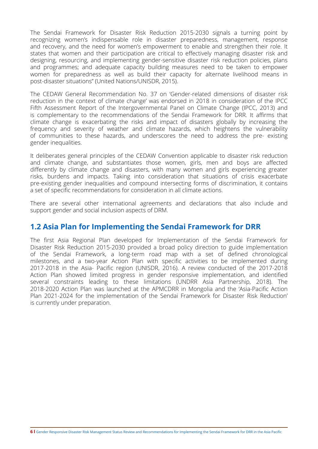<span id="page-10-0"></span>The Sendai Framework for Disaster Risk Reduction 2015-2030 signals a turning point by recognizing women's indispensable role in disaster preparedness, management, response and recovery, and the need for women's empowerment to enable and strengthen their role. It states that women and their participation are critical to effectively managing disaster risk and designing, resourcing, and implementing gender-sensitive disaster risk reduction policies, plans and programmes; and adequate capacity building measures need to be taken to empower women for preparedness as well as build their capacity for alternate livelihood means in post-disaster situations" (United Nations/UNISDR, 2015).

The CEDAW General Recommendation No. 37 on 'Gender-related dimensions of disaster risk reduction in the context of climate change' was endorsed in 2018 in consideration of the IPCC Fifth Assessment Report of the Intergovernmental Panel on Climate Change (IPCC, 2013) and is complementary to the recommendations of the Sendai Framework for DRR. It affirms that climate change is exacerbating the risks and impact of disasters globally by increasing the frequency and severity of weather and climate hazards, which heightens the vulnerability of communities to these hazards, and underscores the need to address the pre- existing gender inequalities.

It deliberates general principles of the CEDAW Convention applicable to disaster risk reduction and climate change, and substantiates those women, girls, men and boys are affected differently by climate change and disasters, with many women and girls experiencing greater risks, burdens and impacts. Taking into consideration that situations of crisis exacerbate pre-existing gender inequalities and compound intersecting forms of discrimination, it contains a set of specific recommendations for consideration in all climate actions.

There are several other international agreements and declarations that also include and support gender and social inclusion aspects of DRM.

## **1.2 Asia Plan for Implementing the Sendai Framework for DRR**

The first Asia Regional Plan developed for Implementation of the Sendai Framework for Disaster Risk Reduction 2015-2030 provided a broad policy direction to guide implementation of the Sendai Framework, a long-term road map with a set of defined chronological milestones, and a two-year Action Plan with specific activities to be implemented during 2017-2018 in the Asia- Pacific region (UNISDR, 2016). A review conducted of the 2017-2018 Action Plan showed limited progress in gender responsive implementation, and identified several constraints leading to these limitations (UNDRR Asia Partnership, 2018). The 2018-2020 Action Plan was launched at the APMCDRR in Mongolia and the 'Asia-Pacific Action Plan 2021-2024 for the implementation of the Sendai Framework for Disaster Risk Reduction' is currently under preparation.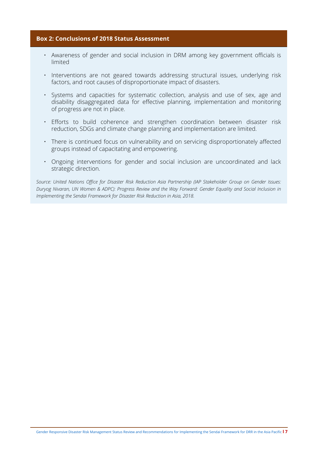## **Box 2: Conclusions of 2018 Status Assessment**

- Awareness of gender and social inclusion in DRM among key government officials is limited
- Interventions are not geared towards addressing structural issues, underlying risk factors, and root causes of disproportionate impact of disasters.
- Systems and capacities for systematic collection, analysis and use of sex, age and disability disaggregated data for effective planning, implementation and monitoring of progress are not in place.
- Efforts to build coherence and strengthen coordination between disaster risk reduction, SDGs and climate change planning and implementation are limited.
- There is continued focus on vulnerability and on servicing disproportionately affected groups instead of capacitating and empowering.
- Ongoing interventions for gender and social inclusion are uncoordinated and lack strategic direction.

*Source: United Nations Office for Disaster Risk Reduction Asia Partnership (IAP Stakeholder Group on Gender Issues: Duryog Nivaran, UN Women & ADPC): Progress Review and the Way Forward: Gender Equality and Social Inclusion in Implementing the Sendai Framework for Disaster Risk Reduction in Asia, 2018.*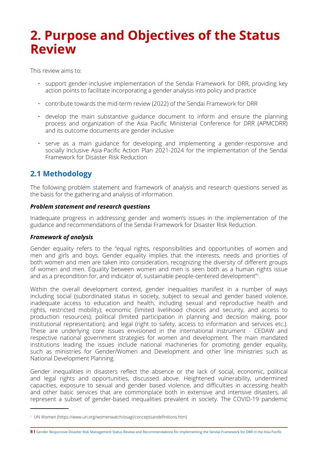# <span id="page-12-0"></span>**2. Purpose and Objectives of the Status Review**

This review aims to:

- support gender-inclusive implementation of the Sendai Framework for DRR, providing key action points to facilitate incorporating a gender analysis into policy and practice
- contribute towards the mid-term review (2022) of the Sendai Framework for DRR
- develop the main substantive guidance document to inform and ensure the planning process and organization of the Asia Pacific Ministerial Conference for DRR (APMCDRR) and its outcome documents are gender inclusive
- serve as a main guidance for developing and implementing a gender-responsive and socially inclusive Asia-Pacific Action Plan 2021-2024 for the implementation of the Sendai Framework for Disaster Risk Reduction

## **2.1 Methodology**

The following problem statement and framework of analysis and research questions served as the basis for the gathering and analysis of information.

## *Problem statement and research questions*

Inadequate progress in addressing gender and women's issues in the implementation of the guidance and recommendations of the Sendai Framework for Disaster Risk Reduction.

## *Framework of analysis*

Gender equality refers to the "equal rights, responsibilities and opportunities of women and men and girls and boys. Gender equality implies that the interests, needs and priorities of both women and men are taken into consideration, recognizing the diversity of different groups of women and men. Equality between women and men is seen both as a human rights issue and as a precondition for, and indicator of, sustainable people-centered development"1 .

Within the overall development context, gender inequalities manifest in a number of ways including social (subordinated status in society, subject to sexual and gender based violence, inadequate access to education and health, including sexual and reproductive health and rights, restricted mobility); economic (limited livelihood choices and security, and access to production resources); political (limited participation in planning and decision making, poor institutional representation); and legal (right to safety, access to information and services etc.). These are underlying core issues envisioned in the international instrument - CEDAW and respective national government strategies for women and development. The main mandated institutions leading the issues include national machineries for promoting gender equality, such as ministries for Gender/Women and Development and other line ministries such as National Development Planning.

Gender inequalities in disasters reflect the absence or the lack of social, economic, political and legal rights and opportunities, discussed above. Heightened vulnerability, undermined capacities, exposure to sexual and gender based violence, and difficulties in accessing health and other basic services that are commonplace both in extensive and intensive disasters, all represent a subset of gender-based inequalities prevalent in society. The COVID-19 pandemic

<sup>1</sup> UN Women (https://www.un.org/womenwatch/osagi/conceptsandefinitions.htm)

**<sup>8</sup> l** Gender Responsive Disaster Risk Management Status Review and Recommendations for Implementing the Sendai Framework for DRR in the Asia Pacific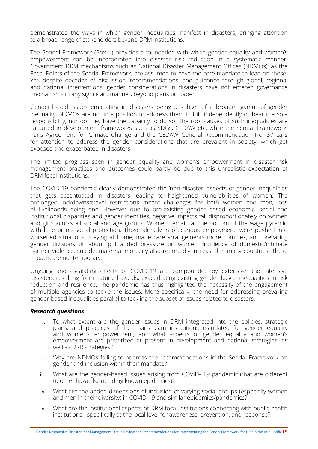demonstrated the ways in which gender inequalities manifest in disasters, bringing attention to a broad range of stakeholders beyond DRM institutions.

The Sendai Framework (Box 1) provides a foundation with which gender equality and women's empowerment can be incorporated into disaster risk reduction in a systematic manner. Government DRM mechanisms such as National Disaster Management Offices (NDMOs), as the Focal Points of the Sendai Framework, are assumed to have the core mandate to lead on these. Yet, despite decades of discussion, recommendations, and guidance through global, regional and national interventions, gender considerations in disasters have not entered governance mechanisms in any significant manner, beyond plans on paper.

Gender-based issues emanating in disasters being a subset of a broader gamut of gender inequality, NDMOs are not in a position to address them in full, independently or bear the sole responsibility, nor do they have the capacity to do so. The root causes of such inequalities are captured in development frameworks such as SDGs, CEDAW etc. while the Sendai Framework, Paris Agreement for Climate Change and the CEDAW General Recommendation No. 37 calls for attention to address the gender considerations that are prevalent in society, which get exposed and exacerbated in disasters.

The limited progress seen in gender equality and women's empowerment in disaster risk management practices and outcomes could partly be due to this unrealistic expectation of DRM focal institutions.

The COVID-19 pandemic clearly demonstrated the 'non disaster' aspects of gender inequalities that gets accentuated in disasters leading to heightened vulnerabilities of women. The prolonged lockdowns/travel restrictions meant challenges for both women and men, loss of livelihoods being one. However due to pre-existing gender based economic, social and institutional disparities and gender identities, negative impacts fall disproportionately on women and girls across all social and age groups. Women remain at the bottom of the wage pyramid with little or no social protection. Those already in precarious employment, were pushed into worsened situations. Staying at home, made care arrangements more complex, and prevailing gender divisions of labour put added pressure on women. Incidence of domestic/intimate partner violence, suicide, maternal mortality also reportedly increased in many countries. These impacts are not temporary.

Ongoing and escalating effects of COVID-19 are compounded by extensive and intensive disasters resulting from natural hazards, exacerbating existing gender based inequalities in risk reduction and resilience. The pandemic has thus highlighted the necessity of the engagement of multiple agencies to tackle the issues. More specifically, the need for addressing prevailing gender-based inequalities parallel to tackling the subset of issues related to disasters.

#### *Research questions*

- i. To what extent are the gender issues in DRM integrated into the policies, strategic plans, and practices of the mainstream institutions mandated for gender equality and women's empowerment; and what aspects of gender equality and women's empowerment are prioritized at present in development and national strategies, as well as DRR strategies?
- ii. Why are NDMOs failing to address the recommendations in the Sendai Framework on gender and inclusion within their mandate?
- iii. What are the gender-based issues arising from COVID-19 pandemic (that are different to other hazards, including known epidemics)?
- iv. What are the added dimensions of inclusion of varying social groups (especially women and men in their diversity) in COVID-19 and similar epidemics/pandemics?
- v. What are the institutional aspects of DRM focal institutions connecting with public health institutions - specifically at the local level for awareness, prevention, and response?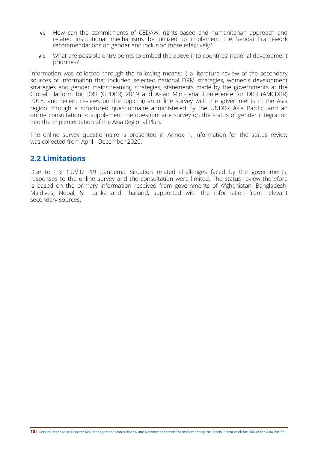- <span id="page-14-0"></span>vi. How can the commitments of CEDAW, rights-based and humanitarian approach and related institutional mechanisms be utilized to implement the Sendai Framework recommendations on gender and inclusion more effectively?
- vii. What are possible entry points to embed the above into countries' national development priorities?

Information was collected through the following means: i) a literature review of the secondary sources of information that included selected national DRM strategies, women's development strategies and gender mainstreaming strategies, statements made by the governments at the Global Platform for DRR (GPDRR) 2019 and Asian Ministerial Conference for DRR (AMCDRR) 2018, and recent reviews on the topic; ii) an online survey with the governments in the Asia region through a structured questionnaire administered by the UNDRR Asia Pacific, and an online consultation to supplement the questionnaire survey on the status of gender integration into the implementation of the Asia Regional Plan.

The online survey questionnaire is presented in Annex 1. Information for the status review was collected from April - December 2020.

## **2.2 Limitations**

Due to the COVID -19 pandemic situation related challenges faced by the governments, responses to the online survey and the consultation were limited. The status review therefore is based on the primary information received from governments of Afghanistan, Bangladesh, Maldives, Nepal, Sri Lanka and Thailand, supported with the information from relevant secondary sources.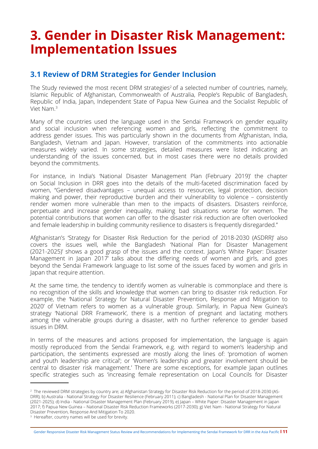# <span id="page-15-0"></span>**3. Gender in Disaster Risk Management: Implementation Issues**

## **3.1 Review of DRM Strategies for Gender Inclusion**

The Study reviewed the most recent DRM strategies<sup>2</sup> of a selected number of countries, namely, Islamic Republic of Afghanistan, Commonwealth of Australia, People's Republic of Bangladesh, Republic of India, Japan, Independent State of Papua New Guinea and the Socialist Republic of Viet Nam.3

Many of the countries used the language used in the Sendai Framework on gender equality and social inclusion when referencing women and girls, reflecting the commitment to address gender issues. This was particularly shown in the documents from Afghanistan, India, Bangladesh, Vietnam and Japan. However, translation of the commitments into actionable measures widely varied. In some strategies, detailed measures were listed indicating an understanding of the issues concerned, but in most cases there were no details provided beyond the commitments.

For instance, in India's 'National Disaster Management Plan (February 2019)' the chapter on Social Inclusion in DRR goes into the details of the multi-faceted discrimination faced by women, "Gendered disadvantages – unequal access to resources, legal protection, decision making and power, their reproductive burden and their vulnerability to violence – consistently render women more vulnerable than men to the impacts of disasters. Disasters reinforce, perpetuate and increase gender inequality, making bad situations worse for women. The potential contributions that women can offer to the disaster risk reduction are often overlooked and female leadership in building community resilience to disasters is frequently disregarded."

Afghanistan's 'Strategy for Disaster Risk Reduction for the period of 2018-2030 (ASDRR)' also covers the issues well, while the Bangladesh 'National Plan for Disaster Management (2021-2025)' shows a good grasp of the issues and the context. Japan's 'White Paper: Disaster Management in Japan 2017' talks about the differing needs of women and girls, and goes beyond the Sendai Framework language to list some of the issues faced by women and girls in Japan that require attention.

At the same time, the tendency to identify women as vulnerable is commonplace and there is no recognition of the skills and knowledge that women can bring to disaster risk reduction. For example, the 'National Strategy for Natural Disaster Prevention, Response and Mitigation to 2020' of Vietnam refers to women as a vulnerable group. Similarly, in Papua New Guinea's strategy 'National DRR Framework', there is a mention of pregnant and lactating mothers among the vulnerable groups during a disaster, with no further reference to gender based issues in DRM.

In terms of the measures and actions proposed for implementation, the language is again mostly reproduced from the Sendai Framework, e.g. with regard to women's leadership and participation, the sentiments expressed are mostly along the lines of: 'promotion of women and youth leadership are critical'; or 'Women's leadership and greater involvement should be central to disaster risk management.' There are some exceptions, for example Japan outlines specific strategies such as 'increasing female representation on Local Councils for Disaster

<sup>2</sup> The reviewed DRM strategies by country are; a) Afghanistan Strategy for Disaster Risk Reduction for the period of 2018-2030 (AS-DRR); b) Australia - National Strategy For Disaster Resilience (February 2011); c) Bangladesh - National Plan for Disaster Management (2021-2025); d) India - National Disaster Management Plan (February 2019), e) Japan – White Paper: Disaster Management in Japan 2017; f) Papua New Guinea – National Disaster Risk Reduction Frameworks (2017-2030); g) Viet Nam - National Strategy For Natural Disaster Prevention, Response And Mitigation To 2020.

<sup>&</sup>lt;sup>3</sup> Hereafter, country names will be used for brevity.

Gender Responsive Disaster Risk Management Status Review and Recommendations for Implementing the Sendai Framework for DRR in the Asia Pacific **l 11**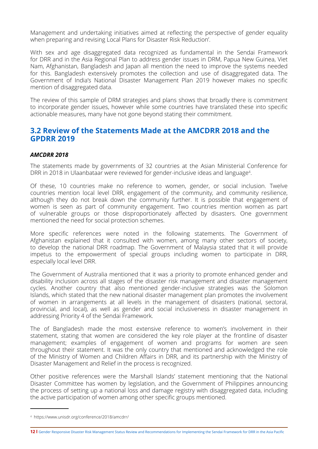<span id="page-16-0"></span>Management and undertaking initiatives aimed at reflecting the perspective of gender equality when preparing and revising Local Plans for Disaster Risk Reduction'.

With sex and age disaggregated data recognized as fundamental in the Sendai Framework for DRR and in the Asia Regional Plan to address gender issues in DRM, Papua New Guinea, Viet Nam, Afghanistan, Bangladesh and Japan all mention the need to improve the systems needed for this. Bangladesh extensively promotes the collection and use of disaggregated data. The Government of India's National Disaster Management Plan 2019 however makes no specific mention of disaggregated data.

The review of this sample of DRM strategies and plans shows that broadly there is commitment to incorporate gender issues, however while some countries have translated these into specific actionable measures, many have not gone beyond stating their commitment.

## **3.2 Review of the Statements Made at the AMCDRR 2018 and the GPDRR 2019**

## *AMCDRR 2018*

The statements made by governments of 32 countries at the Asian Ministerial Conference for DRR in 2018 in Ulaanbataar were reviewed for gender-inclusive ideas and language<sup>4</sup>.

Of these, 10 countries make no reference to women, gender, or social inclusion. Twelve countries mention local level DRR, engagement of the community, and community resilience, although they do not break down the community further. It is possible that engagement of women is seen as part of community engagement. Two countries mention women as part of vulnerable groups or those disproportionately affected by disasters. One government mentioned the need for social protection schemes.

More specific references were noted in the following statements. The Government of Afghanistan explained that it consulted with women, among many other sectors of society, to develop the national DRR roadmap. The Government of Malaysia stated that it will provide impetus to the empowerment of special groups including women to participate in DRR, especially local level DRR.

The Government of Australia mentioned that it was a priority to promote enhanced gender and disability inclusion across all stages of the disaster risk management and disaster management cycles. Another country that also mentioned gender-inclusive strategies was the Solomon Islands, which stated that the new national disaster management plan promotes the involvement of women in arrangements at all levels in the management of disasters (national, sectoral, provincial, and local), as well as gender and social inclusiveness in disaster management in addressing Priority 4 of the Sendai Framework.

The of Bangladesh made the most extensive reference to women's involvement in their statement, stating that women are considered the key role player at the frontline of disaster management; examples of engagement of women and programs for women are seen throughout their statement. It was the only country that mentioned and acknowledged the role of the Ministry of Women and Children Affairs in DRR, and its partnership with the Ministry of Disaster Management and Relief in the process is recognized.

Other positive references were the Marshall Islands' statement mentioning that the National Disaster Committee has women by legislation, and the Government of Philippines announcing the process of setting up a national loss and damage registry with disaggregated data, including the active participation of women among other specific groups mentioned.

<sup>4</sup> https://www.unisdr.org/conference/2018/amcdrr/

**<sup>12</sup> l** Gender Responsive Disaster Risk Management Status Review and Recommendations for Implementing the Sendai Framework for DRR in the Asia Pacific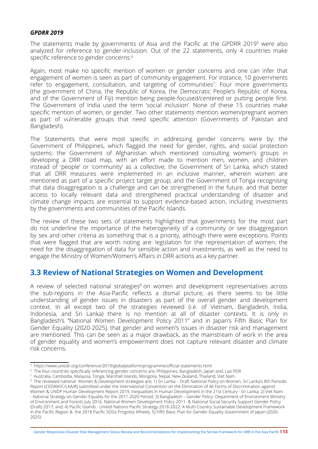#### <span id="page-17-0"></span>*GPDRR 2019*

The statements made by governments of Asia and the Pacific at the GPDRR 20195 were also analyzed for reference to gender-inclusion. Out of the 22 statements, only 4 countries make specific reference to gender concerns.<sup>6</sup>

Again, most make no specific mention of women or gender concerns and one can infer that engagement of women is seen as part of community engagement. For instance, 10 governments refer to engagement, consultation, and targeting of communities<sup>7</sup>. Four more governments (the government of China, the Republic of Korea, the Democratic People's Republic of Korea, and of the Government of Fiji) mention being people-focused/centered or putting people first. The Government of India used the term 'social inclusion'. None of these 15 countries make specific mention of women, or gender. Two other statements mention women/pregnant women as part of vulnerable groups that need specific attention (Governments of Pakistan and Bangladesh).

The Statements that were most specific in addressing gender concerns were by: the Government of Philippines, which flagged the need for gender, rights, and social protection systems; the Government of Afghanistan which mentioned consulting women's groups in developing a DRR road map, with an effort made to mention men, women, and children instead of 'people' or 'community' as a collective; the Government of Sri Lanka, which stated that all DRR measures were implemented in an inclusive manner, wherein women are mentioned as part of a specific project target group; and the Government of Tonga recognising that data disaggregation is a challenge and can be strengthened in the future, and that better access to locally relevant data and strengthened practical understanding of disaster and climate change impacts are essential to support evidence-based action, including investments by the governments and communities of the Pacific Islands.

The review of these two sets of statements highlighted that governments for the most part do not underline the importance of the heterogeneity of a community or see disaggregation by sex and other criteria as something that is a priority, although there were exceptions. Points that were flagged that are worth noting are: legislation for the representation of women; the need for the disaggregation of data for sensible action and investments, as well as the need to engage the Ministry of Women/Women's Affairs in DRR actions as a key partner.

## **3.3 Review of National Strategies on Women and Development**

A review of selected national strategies<sup>8</sup> on women and development representatives across the sub-regions in the Asia-Pacific reflects a dismal picture, as there seems to be little understanding of gender issues in disasters as part of the overall gender and development context. In all except two of the strategies reviewed (i.e. of Vietnam, Bangladesh, India, Indonesia, and Sri Lanka) there is no mention at all of disaster contexts. It is only in Bangladesh's ''National Women Development Policy 2011'' and in Japan's Fifth Basic Plan for Gender Equality (2020-2025), that gender and women's issues in disaster risk and management are mentioned. This can be seen as a major drawback, as the mainstream of work in the area of gender equality and women's empowerment does not capture relevant disaster and climate risk concerns.

Gender Responsive Disaster Risk Management Status Review and Recommendations for Implementing the Sendai Framework for DRR in the Asia Pacific **l 13**

<sup>5</sup> https://www.unisdr.org/conference/2019/globalplatform/programme/official-statements.html

<sup>6</sup> The four countries specifically referencing gender concerns are; Philippines, Bangladesh, Japan and, Lao PDR

<sup>7</sup> Australia, Cambodia, Malaysia, Tonga, Marshall Islands, Mongolia, Nepal, New Zealand, Thailand, Viet Nam.

<sup>8</sup> The reviewed national Women & Development strategies are; 1) Sri Lanka – Draft National Policy on Women, Sri Lanka's 8th Periodic Report (CEDAW/C/LKA/8) submitted under the International Convention on the Elimination of All Forms of Discrimination against Women & UNDP Human Development Report 2019, Inequalities in Human Development in the 21st Century - Sri Lanka; 2) Viet Nam - National Strategy on Gender Equality for the 2011-2020 Period; 3) Bangladesh – Gender Policy: Department of Environment Ministry of Environment and Forests July 2016, National Women Development Policy 2011 & National Social Security Support Gender Policy (Draft) 2017; and, 4) Pacific Islands - United Nations Pacific Strategy 2018-2022: A Multi-Country Sustainable Development Framework in the Pacific Region & the 2018 Pacific SDGs Progress Wheels, 5) Fifth Basic Plan for Gender Equality Government of Japan (2020- 2025)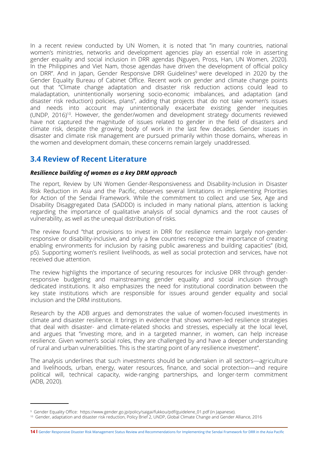<span id="page-18-0"></span>In a recent review conducted by UN Women, it is noted that "in many countries, national women's ministries, networks and development agencies play an essential role in asserting gender equality and social inclusion in DRR agendas (Nguyen, Pross, Han, UN Women, 2020). In the Philippines and Viet Nam, those agendas have driven the development of official policy on DRR". And in Japan, Gender Responsive DRR Guidelines<sup>9</sup> were developed in 2020 by the Gender Equality Bureau of Cabinet Office. Recent work on gender and climate change points out that ''Climate change adaptation and disaster risk reduction actions could lead to maladaptation, unintentionally worsening socio-economic imbalances, and adaptation (and disaster risk reduction) policies, plans", adding that projects that do not take women's issues and needs into account may unintentionally exacerbate existing gender inequities (UNDP, 2016)10. However, the gender/women and development strategy documents reviewed have not captured the magnitude of issues related to gender in the field of disasters and climate risk, despite the growing body of work in the last few decades. Gender issues in disaster and climate risk management are pursued primarily within those domains, whereas in the women and development domain, these concerns remain largely unaddressed.

## **3.4 Review of Recent Literature**

## *Resilience building of women as a key DRM approach*

The report, Review by UN Women Gender-Responsiveness and Disability-Inclusion in Disaster Risk Reduction in Asia and the Pacific, observes several limitations in implementing Priorities for Action of the Sendai Framework. While the commitment to collect and use Sex, Age and Disability Disaggregated Data (SADDD) is included in many national plans, attention is lacking regarding the importance of qualitative analysis of social dynamics and the root causes of vulnerability, as well as the unequal distribution of risks.

The review found "that provisions to invest in DRR for resilience remain largely non-genderresponsive or disability-inclusive, and only a few countries recognize the importance of creating enabling environments for inclusion by raising public awareness and building capacities" (ibid, p5). Supporting women's resilient livelihoods, as well as social protection and services, have not received due attention.

The review highlights the importance of securing resources for inclusive DRR through genderresponsive budgeting and mainstreaming gender equality and social inclusion through dedicated institutions. It also emphasizes the need for institutional coordination between the key state institutions which are responsible for issues around gender equality and social inclusion and the DRM institutions.

Research by the ADB argues and demonstrates the value of women-focused investments in climate and disaster resilience. It brings in evidence that shows women-led resilience strategies that deal with disaster- and climate-related shocks and stresses, especially at the local level, and argues that "investing more, and in a targeted manner, in women, can help increase resilience. Given women's social roles, they are challenged by and have a deeper understanding of rural and urban vulnerabilities. This is the starting point of any resilience investment".

The analysis underlines that such investments should be undertaken in all sectors—agriculture and livelihoods, urban, energy, water resources, finance, and social protection—and require political will, technical capacity, wide-ranging partnerships, and longer-term commitment (ADB, 2020).

**14 l** Gender Responsive Disaster Risk Management Status Review and Recommendations for Implementing the Sendai Framework for DRR in the Asia Pacific

<sup>9</sup> Gender Equality Office: https://www.gender.go.jp/policy/saigai/fukkou/pdf/guidelene\_01.pdf (in Japanese).

<sup>10</sup> Gender, adaptation and disaster risk reduction, Policy Brief 2, UNDP, Global Climate Change and Gender Alliance, 2016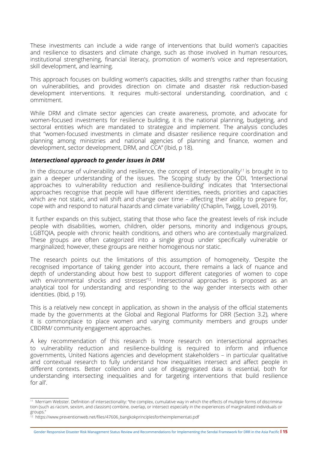These investments can include a wide range of interventions that build women's capacities and resilience to disasters and climate change, such as those involved in human resources, institutional strengthening, financial literacy, promotion of women's voice and representation, skill development, and learning.

This approach focuses on building women's capacities, skills and strengths rather than focusing on vulnerabilities, and provides direction on climate and disaster risk reduction-based development interventions. It requires multi-sectoral understanding, coordination, and c ommitment.

While DRM and climate sector agencies can create awareness, promote, and advocate for women-focused investments for resilience building, it is the national planning, budgeting, and sectoral entities which are mandated to strategize and implement. The analysis concludes that "women-focused investments in climate and disaster resilience require coordination and planning among ministries and national agencies of planning and finance, women and development, sector development, DRM, and CCA" (Ibid, p 18).

## *Intersectional approach to gender issues in DRM*

In the discourse of vulnerability and resilience, the concept of intersectionality<sup>11</sup> is brought in to gain a deeper understanding of the issues. The Scoping study by the ODI, 'Intersectional approaches to vulnerability reduction and resilience-building' indicates that 'Intersectional approaches recognise that people will have different identities, needs, priorities and capacities which are not static, and will shift and change over time – affecting their ability to prepare for, cope with and respond to natural hazards and climate variability' (Chaplin, Twigg, Lovell, 2019).

It further expands on this subject, stating that those who face the greatest levels of risk include people with disabilities, women, children, older persons, minority and indigenous groups, LGBTQIA, people with chronic health conditions, and others who are contextually marginalized. These groups are often categorized into a single group under specifically vulnerable or marginalized; however, these groups are neither homogenous nor static.

The research points out the limitations of this assumption of homogeneity. 'Despite the recognised importance of taking gender into account, there remains a lack of nuance and depth of understanding about how best to support different categories of women to cope with environmental shocks and stresses<sup>"2</sup>. Intersectional approaches is proposed as an analytical tool for understanding and responding to the way gender intersects with other identities. (Ibid, p 19).

This is a relatively new concept in application, as shown in the analysis of the official statements made by the governments at the Global and Regional Platforms for DRR (Section 3.2), where it is commonplace to place women and varying community members and groups under CBDRM/ community engagement approaches.

A key recommendation of this research is 'more research on intersectional approaches to vulnerability reduction and resilience-building is required to inform and influence governments, United Nations agencies and development stakeholders – in particular qualitative and contextual research to fully understand how inequalities intersect and affect people in different contexts. Better collection and use of disaggregated data is essential, both for understanding intersecting inequalities and for targeting interventions that build resilience for all'.

<sup>&</sup>lt;sup>11</sup> Merriam Webster. Definition of intersectionality: "the complex, cumulative way in which the effects of multiple forms of discrimination (such as racism, sexism, and classism) combine, overlap, or intersect especially in the experiences of marginalized individuals or groups."

 $\frac{1}{2}$  https://www.preventionweb.net/files/47606 bangkokprinciplesfortheimplementati.pdf

Gender Responsive Disaster Risk Management Status Review and Recommendations for Implementing the Sendai Framework for DRR in the Asia Pacific **l 15**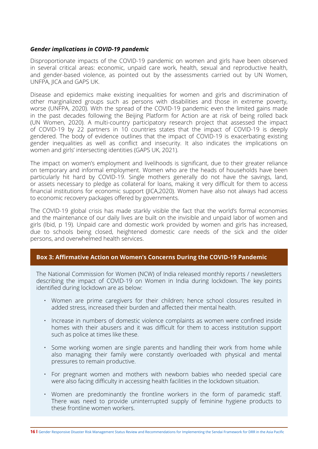#### *Gender implications in COVID-19 pandemic*

Disproportionate impacts of the COVID-19 pandemic on women and girls have been observed in several critical areas: economic, unpaid care work, health, sexual and reproductive health, and gender-based violence, as pointed out by the assessments carried out by UN Women, UNFPA, JICA and GAPS UK.

Disease and epidemics make existing inequalities for women and girls and discrimination of other marginalized groups such as persons with disabilities and those in extreme poverty, worse (UNFPA, 2020). With the spread of the COVID-19 pandemic even the limited gains made in the past decades following the Beijing Platform for Action are at risk of being rolled back (UN Women, 2020). A multi-country participatory research project that assessed the impact of COVID-19 by 22 partners in 10 countries states that the impact of COVID-19 is deeply gendered. The body of evidence outlines that the impact of COVID-19 is exacerbating existing gender inequalities as well as conflict and insecurity. It also indicates the implications on women and girls' intersecting identities (GAPS UK, 2021).

The impact on women's employment and livelihoods is significant, due to their greater reliance on temporary and informal employment. Women who are the heads of households have been particularly hit hard by COVID-19. Single mothers generally do not have the savings, land, or assets necessary to pledge as collateral for loans, making it very difficult for them to access financial institutions for economic support (JICA,2020). Women have also not always had access to economic recovery packages offered by governments.

The COVID-19 global crisis has made starkly visible the fact that the world's formal economies and the maintenance of our daily lives are built on the invisible and unpaid labor of women and girls (Ibid, p 19). Unpaid care and domestic work provided by women and girls has increased, due to schools being closed, heightened domestic care needs of the sick and the older persons, and overwhelmed health services.

## **Box 3: Affirmative Action on Women's Concerns During the COVID-19 Pandemic**

The National Commission for Women (NCW) of India released monthly reports / newsletters describing the impact of COVID-19 on Women in India during lockdown. The key points identified during lockdown are as below:

- Women are prime caregivers for their children; hence school closures resulted in added stress, increased their burden and affected their mental health.
- Increase in numbers of domestic violence complaints as women were confined inside homes with their abusers and it was difficult for them to access institution support such as police at times like these.
- Some working women are single parents and handling their work from home while also managing their family were constantly overloaded with physical and mental pressures to remain productive.
- For pregnant women and mothers with newborn babies who needed special care were also facing difficulty in accessing health facilities in the lockdown situation.
- Women are predominantly the frontline workers in the form of paramedic staff. There was need to provide uninterrupted supply of feminine hygiene products to these frontline women workers.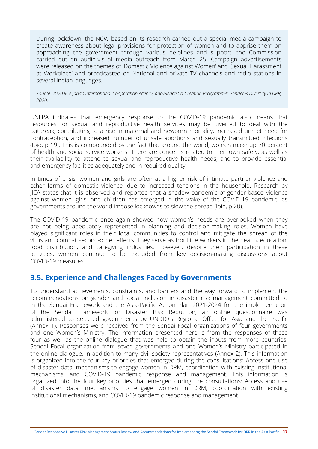<span id="page-21-0"></span>During lockdown, the NCW based on its research carried out a special media campaign to create awareness about legal provisions for protection of women and to apprise them on approaching the government through various helplines and support, the Commission carried out an audio-visual media outreach from March 25. Campaign advertisements were released on the themes of 'Domestic Violence against Women' and 'Sexual Harassment at Workplace' and broadcasted on National and private TV channels and radio stations in several Indian languages.

*Source: 2020 JICA Japan International Cooperation Agency, Knowledge Co-Creation Programme: Gender & Diversity in DRR, 2020.*

UNFPA indicates that emergency response to the COVID-19 pandemic also means that resources for sexual and reproductive health services may be diverted to deal with the outbreak, contributing to a rise in maternal and newborn mortality, increased unmet need for contraception, and increased number of unsafe abortions and sexually transmitted infections (Ibid, p 19). This is compounded by the fact that around the world, women make up 70 percent of health and social service workers. There are concerns related to their own safety, as well as their availability to attend to sexual and reproductive health needs, and to provide essential and emergency facilities adequately and in required quality.

In times of crisis, women and girls are often at a higher risk of intimate partner violence and other forms of domestic violence, due to increased tensions in the household. Research by JICA states that it is observed and reported that a shadow pandemic of gender-based violence against women, girls, and children has emerged in the wake of the COVID-19 pandemic, as governments around the world impose lockdowns to slow the spread (Ibid, p 20).

The COVID-19 pandemic once again showed how women's needs are overlooked when they are not being adequately represented in planning and decision-making roles. Women have played significant roles in their local communities to control and mitigate the spread of the virus and combat second-order effects. They serve as frontline workers in the health, education, food distribution, and caregiving industries. However, despite their participation in these activities, women continue to be excluded from key decision-making discussions about COVID-19 measures.

## **3.5. Experience and Challenges Faced by Governments**

To understand achievements, constraints, and barriers and the way forward to implement the recommendations on gender and social inclusion in disaster risk management committed to in the Sendai Framework and the Asia-Pacific Action Plan 2021-2024 for the implementation of the Sendai Framework for Disaster Risk Reduction, an online questionnaire was administered to selected governments by UNDRR's Regional Office for Asia and the Pacific (Annex 1). Responses were received from the Sendai Focal organizations of four governments and one Women's Ministry. The information presented here is from the responses of these four as well as the online dialogue that was held to obtain the inputs from more countries. Sendai Focal organization from seven governments and one Women's Ministry participated in the online dialogue, in addition to many civil society representatives (Annex 2). This information is organized into the four key priorities that emerged during the consultations: Access and use of disaster data, mechanisms to engage women in DRM, coordination with existing institutional mechanisms, and COVID-19 pandemic response and management. This information is organized into the four key priorities that emerged during the consultations: Access and use of disaster data, mechanisms to engage women in DRM, coordination with existing institutional mechanisms, and COVID-19 pandemic response and management.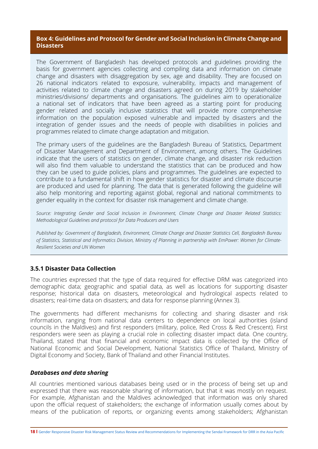## **Box 4: Guidelines and Protocol for Gender and Social Inclusion in Climate Change and Disasters**

The Government of Bangladesh has developed protocols and guidelines providing the basis for government agencies collecting and compiling data and information on climate change and disasters with disaggregation by sex, age and disability. They are focused on 26 national indicators related to exposure, vulnerability, impacts and management of activities related to climate change and disasters agreed on during 2019 by stakeholder ministries/divisions/ departments and organisations. The guidelines aim to operationalize a national set of indicators that have been agreed as a starting point for producing gender related and socially inclusive statistics that will provide more comprehensive information on the population exposed vulnerable and impacted by disasters and the integration of gender issues and the needs of people with disabilities in policies and programmes related to climate change adaptation and mitigation.

The primary users of the guidelines are the Bangladesh Bureau of Statistics, Department of Disaster Management and Department of Environment, among others. The Guidelines indicate that the users of statistics on gender, climate change, and disaster risk reduction will also find them valuable to understand the statistics that can be produced and how they can be used to guide policies, plans and programmes. The guidelines are expected to contribute to a fundamental shift in how gender statistics for disaster and climate discourse are produced and used for planning. The data that is generated following the guideline will also help monitoring and reporting against global, regional and national commitments to gender equality in the context for disaster risk management and climate change.

*Source: Integrating Gender and Social Inclusion in Environment, Climate Change and Disaster Related Statistics: Methodological Guidelines and protocol for Data Producers and Users*

*Published by: Government of Bangladesh, Environment, Climate Change and Disaster Statistics Cell, Bangladesh Bureau of Statistics, Statistical and Informatics Division, Ministry of Planning in partnership with EmPower: Women for Climate-Resilient Societies and UN Women* 

## **3.5.1 Disaster Data Collection**

The countries expressed that the type of data required for effective DRM was categorized into demographic data; geographic and spatial data, as well as locations for supporting disaster response; historical data on disasters, meteorological and hydrological aspects related to disasters; real-time data on disasters; and data for response planning (Annex 3).

The governments had different mechanisms for collecting and sharing disaster and risk information, ranging from national data centers to dependence on local authorities (island councils in the Maldives) and first responders (military, police, Red Cross & Red Crescent). First responders were seen as playing a crucial role in collecting disaster impact data. One country, Thailand, stated that that financial and economic impact data is collected by the Office of National Economic and Social Development, National Statistics Office of Thailand, Ministry of Digital Economy and Society, Bank of Thailand and other Financial Institutes.

## *Databases and data sharing*

All countries mentioned various databases being used or in the process of being set up and expressed that there was reasonable sharing of information, but that it was mostly on request. For example, Afghanistan and the Maldives acknowledged that information was only shared upon the official request of stakeholders; the exchange of information usually comes about by means of the publication of reports, or organizing events among stakeholders; Afghanistan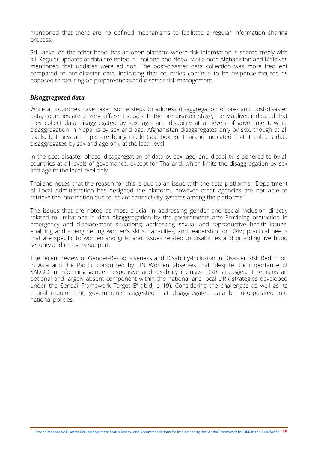mentioned that there are no defined mechanisms to facilitate a regular information sharing process.

Sri Lanka, on the other hand, has an open platform where risk information is shared freely with all. Regular updates of data are noted in Thailand and Nepal, while both Afghanistan and Maldives mentioned that updates were ad hoc. The post-disaster data collection was more frequent compared to pre-disaster data, indicating that countries continue to be response-focused as opposed to focusing on preparedness and disaster risk management.

### *Disaggregated data*

While all countries have taken some steps to address disaggregation of pre- and post-disaster data, countries are at very different stages. In the pre-disaster stage, the Maldives indicated that they collect data disaggregated by sex, age, and disability at all levels of government, while disaggregation in Nepal is by sex and age. Afghanistan disaggregates only by sex, though at all levels, but new attempts are being made (see box 5). Thailand indicated that it collects data disaggregated by sex and age only at the local level.

In the post-disaster phase, disaggregation of data by sex, age, and disability is adhered to by all countries at all levels of governance, except for Thailand, which limits the disaggregation by sex and age to the local level only.

Thailand noted that the reason for this is due to an issue with the data platforms: "Department of Local Administration has designed the platform, however other agencies are not able to retrieve the information due to lack of connectivity systems among the platforms."

The issues that are noted as most crucial in addressing gender and social inclusion directly related to limitations in data disaggregation by the governments are: Providing protection in emergency and displacement situations; addressing sexual and reproductive health issues; enabling and strengthening women's skills, capacities, and leadership for DRM; practical needs that are specific to women and girls; and, issues related to disabilities and providing livelihood security and recovery support.

The recent review of Gender-Responsiveness and Disability-Inclusion in Disaster Risk Reduction in Asia and the Pacific conducted by UN Women observes that "despite the importance of SADDD in informing gender responsive and disability inclusive DRR strategies, it remains an optional and largely absent component within the national and local DRR strategies developed under the Sendai Framework Target E" (Ibid, p 19). Considering the challenges as well as its critical requirement, governments suggested that disaggregated data be incorporated into national policies.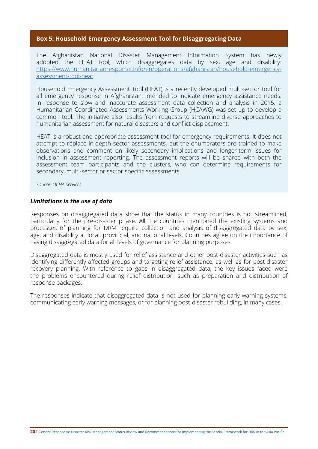## **Box 5: Household Emergency Assessment Tool for Disaggregating Data**

The Afghanistan National Disaster Management Information System has newly adopted the HEAT tool, which disaggregates data by sex, age and disability: [https://www.humanitarianresponse.info/en/operations/afghanistan/household-emergency](https://www.humanitarianresponse.info/en/operations/afghanistan/household-emergency-assessment-tool-heat)[assessment-tool-heat](https://www.humanitarianresponse.info/en/operations/afghanistan/household-emergency-assessment-tool-heat)

Household Emergency Assessment Tool (HEAT) is a recently developed multi-sector tool for all emergency response in Afghanistan, intended to indicate emergency assistance needs. In response to slow and inaccurate assessment data collection and analysis in 2015, a Humanitarian Coordinated Assessments Working Group (HCAWG) was set up to develop a common tool. The initiative also results from requests to streamline diverse approaches to humanitarian assessment for natural disasters and conflict displacement.

HEAT is a robust and appropriate assessment tool for emergency requirements. It does not attempt to replace in-depth sector assessments, but the enumerators are trained to make observations and comment on likely secondary implications and longer-term issues for inclusion in assessment reporting. The assessment reports will be shared with both the assessment team participants and the clusters, who can determine requirements for secondary, multi-sector or sector specific assessments.

*Source: OCHA Services*

#### *Limitations in the use of data*

Responses on disaggregated data show that the status in many countries is not streamlined, particularly for the pre-disaster phase. All the countries mentioned the existing systems and processes of planning for DRM require collection and analysis of disaggregated data by sex, age, and disability at local, provincial, and national levels. Countries agree on the importance of having disaggregated data for all levels of governance for planning purposes.

Disaggregated data is mostly used for relief assistance and other post-disaster activities such as identifying differently affected groups and targeting relief assistance, as well as for post-disaster recovery planning. With reference to gaps in disaggregated data, the key issues faced were the problems encountered during relief distribution, such as preparation and distribution of response packages.

The responses indicate that disaggregated data is not used for planning early warning systems, communicating early warning messages, or for planning post-disaster rebuilding, in many cases.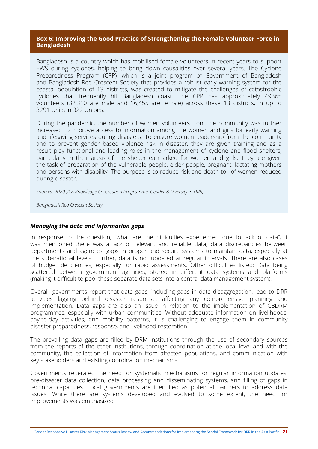## **Box 6: Improving the Good Practice of Strengthening the Female Volunteer Force in Bangladesh**

Bangladesh is a country which has mobilised female volunteers in recent years to support EWS during cyclones, helping to bring down causalities over several years. The Cyclone Preparedness Program (CPP), which is a joint program of Government of Bangladesh and Bangladesh Red Crescent Society that provides a robust early warning system for the coastal population of 13 districts, was created to mitigate the challenges of catastrophic cyclones that frequently hit Bangladesh coast. The CPP has approximately 49365 volunteers (32,310 are male and 16,455 are female) across these 13 districts, in up to 3291 Units in 322 Unions.

During the pandemic, the number of women volunteers from the community was further increased to improve access to information among the women and girls for early warning and lifesaving services during disasters. To ensure women leadership from the community and to prevent gender based violence risk in disaster, they are given training and as a result play functional and leading roles in the management of cyclone and flood shelters, particularly in their areas of the shelter earmarked for women and girls. They are given the task of preparation of the vulnerable people, elder people, pregnant, lactating mothers and persons with disability. The purpose is to reduce risk and death toll of women reduced during disaster.

*Sources: 2020 JICA Knowledge Co-Creation Programme: Gender & Diversity in DRR;* 

*Bangladesh Red Crescent Society*

## *Managing the data and information gaps*

In response to the question, "what are the difficulties experienced due to lack of data", it was mentioned there was a lack of relevant and reliable data; data discrepancies between departments and agencies; gaps in proper and secure systems to maintain data, especially at the sub-national levels. Further, data is not updated at regular intervals. There are also cases of budget deficiencies, especially for rapid assessments. Other difficulties listed: Data being scattered between government agencies, stored in different data systems and platforms (making it difficult to pool these separate data sets into a central data management system).

Overall, governments report that data gaps, including gaps in data disaggregation, lead to DRR activities lagging behind disaster response, affecting any comprehensive planning and implementation. Data gaps are also an issue in relation to the implementation of CBDRM programmes, especially with urban communities. Without adequate information on livelihoods, day-to-day activities, and mobility patterns, it is challenging to engage them in community disaster preparedness, response, and livelihood restoration.

The prevailing data gaps are filled by DRM institutions through the use of secondary sources from the reports of the other institutions, through coordination at the local level and with the community, the collection of information from affected populations, and communication with key stakeholders and existing coordination mechanisms.

Governments reiterated the need for systematic mechanisms for regular information updates, pre-disaster data collection, data processing and disseminating systems, and filling of gaps in technical capacities. Local governments are identified as potential partners to address data issues. While there are systems developed and evolved to some extent, the need for improvements was emphasized.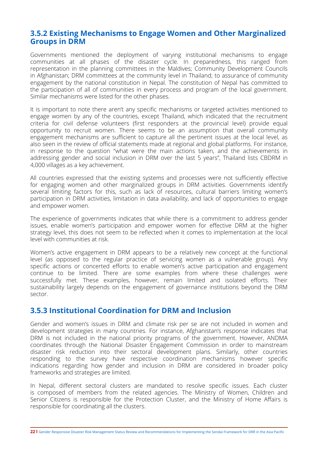## **3.5.2 Existing Mechanisms to Engage Women and Other Marginalized Groups in DRM**

Governments mentioned the deployment of varying institutional mechanisms to engage communities at all phases of the disaster cycle. In preparedness, this ranged from representation in the planning committees in the Maldives; Community Development Councils in Afghanistan; DRM committees at the community level in Thailand; to assurance of community engagement by the national constitution in Nepal. The constitution of Nepal has committed to the participation of all of communities in every process and program of the local government. Similar mechanisms were listed for the other phases.

It is important to note there aren't any specific mechanisms or targeted activities mentioned to engage women by any of the countries, except Thailand, which indicated that the recruitment criteria for civil defense volunteers (first responders at the provincial level) provide equal opportunity to recruit women. There seems to be an assumption that overall community engagement mechanisms are sufficient to capture all the pertinent issues at the local level, as also seen in the review of official statements made at regional and global platforms. For instance, in response to the question "what were the main actions taken, and the achievements in addressing gender and social inclusion in DRM over the last 5 years", Thailand lists CBDRM in 4,000 villages as a key achievement.

All countries expressed that the existing systems and processes were not sufficiently effective for engaging women and other marginalized groups in DRM activities. Governments identify several limiting factors for this, such as lack of resources, cultural barriers limiting women's participation in DRM activities, limitation in data availability, and lack of opportunities to engage and empower women.

The experience of governments indicates that while there is a commitment to address gender issues, enable women's participation and empower women for effective DRM at the higher strategy level, this does not seem to be reflected when it comes to implementation at the local level with communities at risk.

Women's active engagement in DRM appears to be a relatively new concept at the functional level (as opposed to the regular practice of servicing women as a vulnerable group). Any specific actions or concerted efforts to enable women's active participation and engagement continue to be limited. There are some examples from where these challenges were successfully met. These examples, however, remain limited and isolated efforts. Their sustainability largely depends on the engagement of governance institutions beyond the DRM sector.

## **3.5.3 Institutional Coordination for DRM and Inclusion**

Gender and women's issues in DRM and climate risk per se are not included in women and development strategies in many countries. For instance, Afghanistan's response indicates that DRM is not included in the national priority programs of the government. However, ANDMA coordinates through the National Disaster Engagement Commission in order to mainstream disaster risk reduction into their sectoral development plans. Similarly, other countries responding to the survey have respective coordination mechanisms however specific indications regarding how gender and inclusion in DRM are considered in broader policy frameworks and strategies are limited.

In Nepal, different sectoral clusters are mandated to resolve specific issues. Each cluster is composed of members from the related agencies. The Ministry of Women, Children and Senior Citizens is responsible for the Protection Cluster, and the Ministry of Home Affairs is responsible for coordinating all the clusters.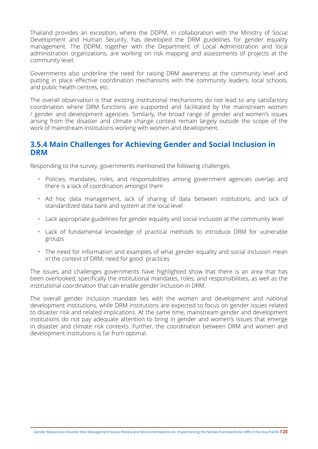Thailand provides an exception, where the DDPM, in collaboration with the Ministry of Social Development and Human Security, has developed the DRM guidelines for gender equality management. The DDPM, together with the Department of Local Administration and local administration organizations, are working on risk mapping and assessments of projects at the community level.

Governments also underline the need for raising DRM awareness at the community level and putting in place effective coordination mechanisms with the community leaders, local schools, and public health centres, etc.

The overall observation is that existing institutional mechanisms do not lead to any satisfactory coordination where DRM functions are supported and facilitated by the mainstream women / gender and development agencies. Similarly, the broad range of gender and women's issues arising from the disaster and climate change context remain largely outside the scope of the work of mainstream institutions working with women and development.

## **3.5.4 Main Challenges for Achieving Gender and Social Inclusion in DRM**

Responding to the survey, governments mentioned the following challenges.

- Policies, mandates, roles, and responsibilities among government agencies overlap and there is a lack of coordination amongst them
- Ad hoc data management, lack of sharing of data between institutions, and lack of standardized data bank and system at the local level
- Lack appropriate guidelines for gender equality and social inclusion at the community level
- Lack of fundamental knowledge of practical methods to introduce DRM for vulnerable groups
- The need for information and examples of what gender equality and social inclusion mean in the context of DRM, need for good practices

The issues and challenges governments have highlighted show that there is an area that has been overlooked, specifically the institutional mandates, roles, and responsibilities, as well as the institutional coordination that can enable gender inclusion in DRM.

The overall gender inclusion mandate lies with the women and development and national development institutions, while DRM institutions are expected to focus on gender issues related to disaster risk and related implications. At the same time, mainstream gender and development institutions do not pay adequate attention to bring in gender and women's issues that emerge in disaster and climate risk contexts. Further, the coordination between DRM and women and development institutions is far from optimal.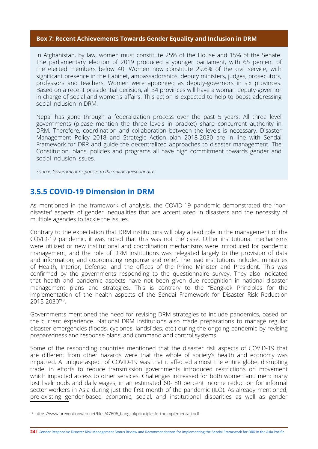## **Box 7: Recent Achievements Towards Gender Equality and Inclusion in DRM**

In Afghanistan, by law, women must constitute 25% of the House and 15% of the Senate. The parliamentary election of 2019 produced a younger parliament, with 65 percent of the elected members below 40. Women now constitute 29.6% of the civil service, with significant presence in the Cabinet, ambassadorships, deputy ministers, judges, prosecutors, professors and teachers. Women were appointed as deputy-governors in six provinces. Based on a recent presidential decision, all 34 provinces will have a woman deputy-governor in charge of social and women's affairs. This action is expected to help to boost addressing social inclusion in DRM.

Nepal has gone through a federalization process over the past 5 years. All three level governments (please mention the three levels in bracket) share concurrent authority in DRM. Therefore, coordination and collaboration between the levels is necessary. Disaster Management Policy 2018 and Strategic Action plan 2018-2030 are in line with Sendai Framework for DRR and guide the decentralized approaches to disaster management. The Constitution, plans, policies and programs all have high commitment towards gender and social inclusion issues.

*Source: Government responses to the online questionnaire*

## **3.5.5 COVID-19 Dimension in DRM**

As mentioned in the framework of analysis, the COVID-19 pandemic demonstrated the 'nondisaster' aspects of gender inequalities that are accentuated in disasters and the necessity of multiple agencies to tackle the issues.

Contrary to the expectation that DRM institutions will play a lead role in the management of the COVID-19 pandemic, it was noted that this was not the case. Other institutional mechanisms were utilized or new institutional and coordination mechanisms were introduced for pandemic management, and the role of DRM institutions was relegated largely to the provision of data and information, and coordinating response and relief. The lead institutions included ministries of Health, Interior, Defense, and the offices of the Prime Minister and President. This was confirmed by the governments responding to the questionnaire survey. They also indicated that health and pandemic aspects have not been given due recognition in national disaster management plans and strategies. This is contrary to the "Bangkok Principles for the implementation of the health aspects of the Sendai Framework for Disaster Risk Reduction 2015-2030''13.

Governments mentioned the need for revising DRM strategies to include pandemics, based on the current experience. National DRM institutions also made preparations to manage regular disaster emergencies (floods, cyclones, landslides, etc.) during the ongoing pandemic by revising preparedness and response plans, and command and control systems.

Some of the responding countries mentioned that the disaster risk aspects of COVID-19 that are different from other hazards were that the whole of society's health and economy was impacted. A unique aspect of COVID-19 was that it affected almost the entire globe, disrupting trade; in efforts to reduce transmission governments introduced restrictions on movement which impacted access to other services. Challenges increased for both women and men: many lost livelihoods and daily wages, in an estimated 60- 80 percent income reduction for informal sector workers in Asia during just the first month of the pandemic (ILO). As already mentioned, pre-existing gender-based economic, social, and institutional disparities as well as gender

<sup>13</sup> https://www.preventionweb.net/files/47606\_bangkokprinciplesfortheimplementati.pdf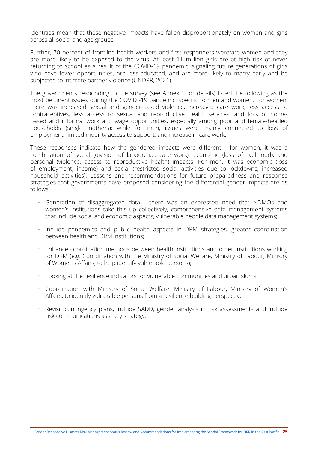identities mean that these negative impacts have fallen disproportionately on women and girls across all social and age groups.

Further, 70 percent of frontline health workers and first responders were/are women and they are more likely to be exposed to the virus. At least 11 million girls are at high risk of never returning to school as a result of the COVID-19 pandemic, signaling future generations of girls who have fewer opportunities, are less-educated, and are more likely to marry early and be subjected to intimate partner violence (UNDRR, 2021).

The governments responding to the survey (see Annex 1 for details) listed the following as the most pertinent issues during the COVID -19 pandemic, specific to men and women. For women, there was increased sexual and gender-based violence, increased care work, less access to contraceptives, less access to sexual and reproductive health services, and loss of homebased and informal work and wage opportunities, especially among poor and female-headed households (single mothers); while for men, issues were mainly connected to loss of employment, limited mobility access to support, and increase in care work.

These responses indicate how the gendered impacts were different - for women, it was a combination of social (division of labour, i.e. care work), economic (loss of livelihood), and personal (violence, access to reproductive health) impacts. For men, it was economic (loss of employment, income) and social (restricted social activities due to lockdowns, increased household activities). Lessons and recommendations for future preparedness and response strategies that governments have proposed considering the differential gender impacts are as follows:

- Generation of disaggregated data there was an expressed need that NDMOs and women's institutions take this up collectively, comprehensive data management systems that include social and economic aspects, vulnerable people data management systems;
- Include pandemics and public health aspects in DRM strategies, greater coordination between health and DRM institutions;
- Enhance coordination methods between health institutions and other institutions working for DRM (e.g. Coordination with the Ministry of Social Welfare, Ministry of Labour, Ministry of Women's Affairs, to help identify vulnerable persons);
- Looking at the resilience indicators for vulnerable communities and urban slums
- Coordination with Ministry of Social Welfare, Ministry of Labour, Ministry of Women's Affairs, to identify vulnerable persons from a resilience building perspective
- Revisit contingency plans, include SADD, gender analysis in risk assessments and include risk communications as a key strategy.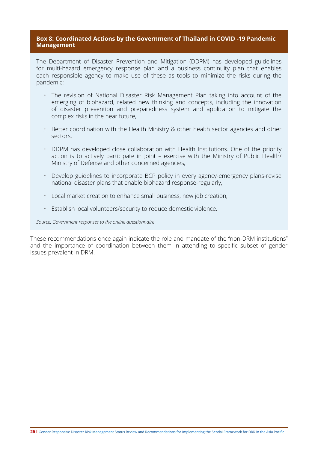## **Box 8: Coordinated Actions by the Government of Thailand in COVID -19 Pandemic Management**

The Department of Disaster Prevention and Mitigation (DDPM) has developed guidelines for multi-hazard emergency response plan and a business continuity plan that enables each responsible agency to make use of these as tools to minimize the risks during the pandemic:

- The revision of National Disaster Risk Management Plan taking into account of the emerging of biohazard, related new thinking and concepts, including the innovation of disaster prevention and preparedness system and application to mitigate the complex risks in the near future,
- Better coordination with the Health Ministry & other health sector agencies and other sectors,
- DDPM has developed close collaboration with Health Institutions. One of the priority action is to actively participate in Joint – exercise with the Ministry of Public Health/ Ministry of Defense and other concerned agencies,
- Develop guidelines to incorporate BCP policy in every agency-emergency plans-revise national disaster plans that enable biohazard response-regularly,
- Local market creation to enhance small business, new job creation,
- Establish local volunteers/security to reduce domestic violence.

*Source: Government responses to the online questionnaire*

These recommendations once again indicate the role and mandate of the ''non-DRM institutions'' and the importance of coordination between them in attending to specific subset of gender issues prevalent in DRM.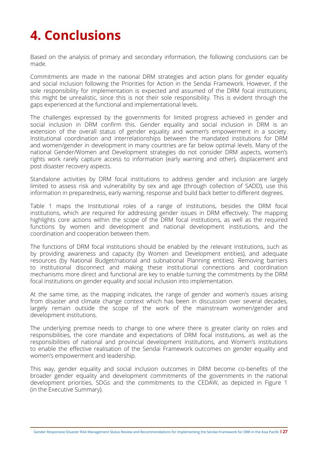# <span id="page-31-0"></span>**4. Conclusions**

Based on the analysis of primary and secondary information, the following conclusions can be made.

Commitments are made in the national DRM strategies and action plans for gender equality and social inclusion following the Priorities for Action in the Sendai Framework. However, if the sole responsibility for implementation is expected and assumed of the DRM focal institutions, this might be unrealistic, since this is not their sole responsibility. This is evident through the gaps experienced at the functional and implementational levels.

The challenges expressed by the governments for limited progress achieved in gender and social inclusion in DRM confirm this. Gender equality and social inclusion in DRM is an extension of the overall status of gender equality and women's empowerment in a society. Institutional coordination and interrelationships between the mandated institutions for DRM and women/gender in development in many countries are far below optimal levels. Many of the national Gender/Women and Development strategies do not consider DRM aspects, women's rights work rarely capture access to information (early warning and other), displacement and post disaster recovery aspects.

Standalone activities by DRM focal institutions to address gender and inclusion are largely limited to assess risk and vulnerability by sex and age (through collection of SADD), use this information in preparedness, early warning, response and build back better to different degrees.

Table 1 maps the Institutional roles of a range of institutions, besides the DRM focal institutions, which are required for addressing gender issues in DRM effectively. The mapping highlights core actions within the scope of the DRM focal institutions, as well as the required functions by women and development and national development institutions, and the coordination and cooperation between them.

The functions of DRM focal institutions should be enabled by the relevant institutions, such as by providing awareness and capacity (by Women and Development entities), and adequate resources (by National Budget/national and subnational Planning entities). Removing barriers to institutional disconnect and making these institutional connections and coordination mechanisms more direct and functional are key to enable turning the commitments by the DRM focal institutions on gender equality and social inclusion into implementation.

At the same time, as the mapping indicates, the range of gender and women's issues arising from disaster and climate change context which has been in discussion over several decades, largely remain outside the scope of the work of the mainstream women/gender and development institutions.

The underlying premise needs to change to one where there is greater clarity on roles and responsibilities, the core mandate and expectations of DRM focal institutions, as well as the responsibilities of national and provincial development institutions, and Women's institutions to enable the effective realisation of the Sendai Framework outcomes on gender equality and women's empowerment and leadership.

This way, gender equality and social inclusion outcomes in DRM become co-benefits of the broader gender equality and development commitments of the governments in the national development priorities, SDGs and the commitments to the CEDAW, as depicted in Figure 1 (in the Executive Summary).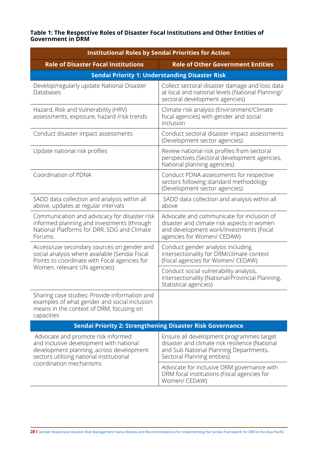### **Table 1: The Respective Roles of Disaster Focal Institutions and Other Entities of Government in DRM**

| <b>Institutional Roles by Sendai Priorities for Action</b>                                                                                                            |                                                                                                                                                                     |  |  |
|-----------------------------------------------------------------------------------------------------------------------------------------------------------------------|---------------------------------------------------------------------------------------------------------------------------------------------------------------------|--|--|
| <b>Role of Disaster Focal Institutions</b>                                                                                                                            | <b>Role of Other Government Entities</b>                                                                                                                            |  |  |
| <b>Sendai Priority 1: Understanding Disaster Risk</b>                                                                                                                 |                                                                                                                                                                     |  |  |
| Develop/regularly update National Disaster<br>Databases                                                                                                               | Collect sectoral disaster damage and loss data<br>at local and national levels (National Planning/<br>sectoral development agencies)                                |  |  |
| Hazard, Risk and Vulnerability (HRV)<br>assessments, exposure, hazard /risk trends                                                                                    | Climate risk analysis (Environment/Climate<br>focal agencies) with gender and social<br>inclusion                                                                   |  |  |
| Conduct disaster impact assessments                                                                                                                                   | Conduct sectoral disaster impact assessments<br>(Development sector agencies)                                                                                       |  |  |
| Update national risk profiles                                                                                                                                         | Review national risk profiles from sectoral<br>perspectives (Sectoral development agencies,<br>National planning agencies)                                          |  |  |
| Coordination of PDNA                                                                                                                                                  | Conduct PDNA assessments for respective<br>sectors following standard methodology<br>(Development sector agencies)                                                  |  |  |
| SADD data collection and analysis within all<br>above, updates at regular intervals                                                                                   | SADD data collection and analysis within all<br>above                                                                                                               |  |  |
| Communication and advocacy for disaster risk<br>informed planning and investments (through<br>National Platforms for DRR, SDG and Climate<br>Forums                   | Advocate and communicate for inclusion of<br>disaster and climate risk aspects in women<br>and development work/investments (Focal<br>agencies for Women/ CEDAW)    |  |  |
| Access/use secondary sources on gender and<br>social analysis where available (Sendai Focal<br>Points to coordinate with Focal agencies for                           | Conduct gender analysis including<br>intersectionality for DRM/climate context<br>(Focal agencies for Women/ CEDAW)                                                 |  |  |
| Women, relevant UN agencies)                                                                                                                                          | Conduct social vulnerability analysis,<br>intersectionality (National/Provincial Planning,<br>Statistical agencies)                                                 |  |  |
| Sharing case studies: Provide information and<br>examples of what gender and social inclusion<br>means in the context of DRM, focusing on<br>capacities               |                                                                                                                                                                     |  |  |
| <b>Sendai Priority 2: Strengthening Disaster Risk Governance</b>                                                                                                      |                                                                                                                                                                     |  |  |
| Advocate and promote risk informed<br>and inclusive development with national<br>development planning, across development<br>sectors utilising national institutional | Ensure all development programmes target<br>disaster and climate risk resilience (National<br>and Sub National Planning Departments,<br>Sectoral Planning entities) |  |  |
| coordination mechanisms                                                                                                                                               | Advocate for inclusive DRM governance with<br>DRM focal institutions (Focal agencies for<br>Women/ CEDAW)                                                           |  |  |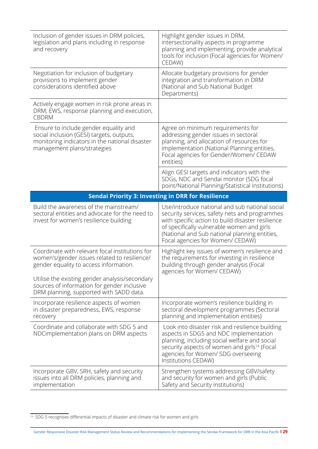| Inclusion of gender issues in DRM policies,<br>legislation and plans including in response<br>and recovery                                                                                                                                                                            | Highlight gender issues in DRM,<br>intersectionality aspects in programme<br>planning and implementing, provide analytical<br>tools for inclusion (Focal agencies for Women/<br>CEDAW)                                                                                                  |
|---------------------------------------------------------------------------------------------------------------------------------------------------------------------------------------------------------------------------------------------------------------------------------------|-----------------------------------------------------------------------------------------------------------------------------------------------------------------------------------------------------------------------------------------------------------------------------------------|
| Negotiation for inclusion of budgetary<br>provisions to implement gender<br>considerations identified above                                                                                                                                                                           | Allocate budgetary provisions for gender<br>integration and transformation in DRM<br>(National and Sub National Budget<br>Departments)                                                                                                                                                  |
| Actively engage women in risk prone areas in<br>DRM; EWS, response planning and execution,<br><b>CBDRM</b>                                                                                                                                                                            |                                                                                                                                                                                                                                                                                         |
| Ensure to include gender equality and<br>social inclusion (GESI) targets, outputs,<br>monitoring indicators in the national disaster<br>management plans/strategies                                                                                                                   | Agree on minimum requirements for<br>addressing gender issues in sectoral<br>planning, and allocation of resources for<br>implementation (National Planning entities,<br>Focal agencies for Gender/Women/ CEDAW<br>entities)                                                            |
|                                                                                                                                                                                                                                                                                       | Align GESI targets and indicators with the<br>SDGs, NDC and Sendai monitor (SDG focal<br>point/National Planning/Statistical Institutions)                                                                                                                                              |
|                                                                                                                                                                                                                                                                                       | <b>Sendai Priority 3: Investing in DRR for Resilience</b>                                                                                                                                                                                                                               |
| Build the awareness of the mainstream/<br>sectoral entities and advocate for the need to<br>invest for women's resilience building                                                                                                                                                    | Use/introduce national and sub national social<br>security services, safety nets and programmes<br>with specific action to build disaster resilience<br>of specifically vulnerable women and girls<br>(National and Sub national planning entities,<br>Focal agencies for Women/ CEDAW) |
| Coordinate with relevant focal institutions for<br>women's/gender issues related to resilience/<br>gender equality to access information.<br>Utilise the existing gender analysis/secondary<br>sources of information for gender inclusive<br>DRM planning, supported with SADD data. | Highlight key issues of women's resilience and<br>the requirements for investing in resilience<br>building through gender analysis (Focal<br>agencies for Women/ CEDAW)                                                                                                                 |
| Incorporate resilience aspects of women<br>in disaster preparedness, EWS, response<br>recovery                                                                                                                                                                                        | Incorporate women's resilience building in<br>sectoral development programmes (Sectoral<br>planning and implementation entities)                                                                                                                                                        |
| Coordinate and collaborate with SDG 5 and<br>NDCimplementation plans on DRM aspects                                                                                                                                                                                                   | Look into disaster risk and resilience building<br>aspects in SDG5 and NDC implementation<br>planning, including social welfare and social<br>security aspects of women and girls <sup>14</sup> (Focal<br>agencies for Women/ SDG overseeing<br>Institutions CEDAW)                     |
| Incorporate GBV, SRH, safety and security<br>issues into all DRM policies, planning and<br>implementation                                                                                                                                                                             | Strengthen systems addressing GBV/safety<br>and security for women and girls (Public<br>Safety and Security institutions)                                                                                                                                                               |

<sup>&</sup>lt;sup>14</sup> SDG 5 recognises differential impacts of disaster and climate risk for women and girls

Gender Responsive Disaster Risk Management Status Review and Recommendations for Implementing the Sendai Framework for DRR in the Asia Pacific **l 29**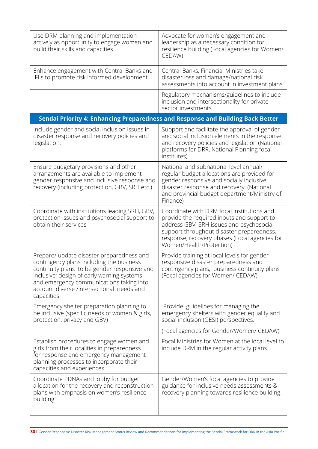| Use DRM planning and implementation<br>actively as opportunity to engage women and<br>build their skills and capacities                                                                                                                                                                    | Advocate for women's engagement and<br>leadership as a necessary condition for<br>resilience building (Focal agencies for Women/<br>CEDAW)                                                                                                                     |
|--------------------------------------------------------------------------------------------------------------------------------------------------------------------------------------------------------------------------------------------------------------------------------------------|----------------------------------------------------------------------------------------------------------------------------------------------------------------------------------------------------------------------------------------------------------------|
| Enhance engagement with Central Banks and<br>IFI s to promote risk informed development                                                                                                                                                                                                    | Central Banks, Financial Ministries take<br>disaster loss and damage/national risk<br>assessments into account in investment plans                                                                                                                             |
|                                                                                                                                                                                                                                                                                            | Regulatory mechanisms/guidelines to include<br>inclusion and intersectionality for private<br>sector investments                                                                                                                                               |
|                                                                                                                                                                                                                                                                                            | Sendai Priority 4: Enhancing Preparedness and Response and Building Back Better                                                                                                                                                                                |
| Include gender and social inclusion issues in<br>disaster response and recovery policies and<br>legislation.                                                                                                                                                                               | Support and facilitate the approval of gender<br>and social inclusion elements in the response<br>and recovery policies and legislation (National<br>platforms for DRR, National Planning focal<br>institutes)                                                 |
| Ensure budgetary provisions and other<br>arrangements are available to implement<br>gender responsive and inclusive response and<br>recovery (including protection, GBV, SRH etc.)                                                                                                         | National and subnational level annual/<br>regular budget allocations are provided for<br>gender responsive and socially inclusive<br>disaster response and recovery. (National<br>and provincial budget department/Ministry of<br>Finance)                     |
| Coordinate with institutions leading SRH, GBV,<br>protection issues and psychosocial support to<br>obtain their services                                                                                                                                                                   | Coordinate with DRM focal institutions and<br>provide the required inputs and support to<br>address GBV, SRH issues and psychosocial<br>support throughout disaster preparedness,<br>response, recovery phases (Focal agencies for<br>Women/Health/Protection) |
| Prepare/ update disaster preparedness and<br>contingency plans including the business<br>continuity plans to be gender responsive and<br>inclusive; design of early warning systems<br>and emergency communications taking into<br>account diverse /intersectional needs and<br>capacities | Provide training at local levels for gender<br>responsive disaster preparedness and<br>contingency plans, business continuity plans<br>(Focal agencies for Women/ CEDAW)                                                                                       |
| Emergency shelter preparation planning to<br>be inclusive (specific needs of women & girls,<br>protection, privacy and GBV)                                                                                                                                                                | Provide guidelines for managing the<br>emergency shelters with gender equality and<br>social inclusion (GESI) perspectives.                                                                                                                                    |
|                                                                                                                                                                                                                                                                                            | (Focal agencies for Gender/Women/ CEDAW)                                                                                                                                                                                                                       |
| Establish procedures to engage women and<br>girls from their localities in preparedness<br>for response and emergency management<br>planning processes to incorporate their<br>capacities and experiences.                                                                                 | Focal Ministries for Women at the local level to<br>include DRM in the regular activity plans.                                                                                                                                                                 |
| Coordinate PDNAs and lobby for budget<br>allocation for the recovery and reconstruction<br>plans with emphasis on women's resilience<br>building                                                                                                                                           | Gender/Women's focal agencies to provide<br>guidance for inclusive needs assessments &<br>recovery planning towards resilience building.                                                                                                                       |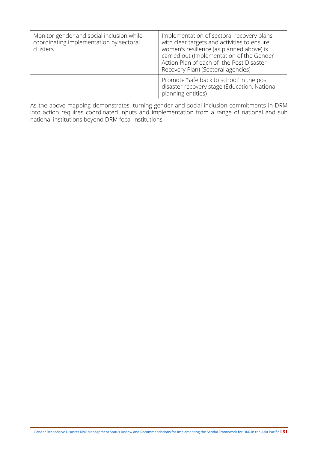| Monitor gender and social inclusion while<br>coordinating implementation by sectoral<br>clusters | Implementation of sectoral recovery plans<br>with clear targets and activities to ensure<br>women's resilience (as planned above) is<br>carried out (Implementation of the Gender<br>Action Plan of each of the Post Disaster<br>Recovery Plan) (Sectoral agencies) |
|--------------------------------------------------------------------------------------------------|---------------------------------------------------------------------------------------------------------------------------------------------------------------------------------------------------------------------------------------------------------------------|
|                                                                                                  | Promote 'Safe back to school' in the post<br>disaster recovery stage (Education, National<br>planning entities)                                                                                                                                                     |

As the above mapping demonstrates, turning gender and social inclusion commitments in DRM into action requires coordinated inputs and implementation from a range of national and sub national institutions beyond DRM focal institutions.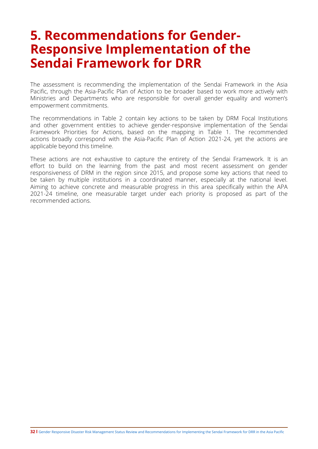# <span id="page-36-0"></span>**5. Recommendations for Gender-Responsive Implementation of the Sendai Framework for DRR**

The assessment is recommending the implementation of the Sendai Framework in the Asia Pacific, through the Asia-Pacific Plan of Action to be broader based to work more actively with Ministries and Departments who are responsible for overall gender equality and women's empowerment commitments.

The recommendations in Table 2 contain key actions to be taken by DRM Focal Institutions and other government entities to achieve gender-responsive implementation of the Sendai Framework Priorities for Actions, based on the mapping in Table 1. The recommended actions broadly correspond with the Asia-Pacific Plan of Action 2021-24, yet the actions are applicable beyond this timeline.

These actions are not exhaustive to capture the entirety of the Sendai Framework. It is an effort to build on the learning from the past and most recent assessment on gender responsiveness of DRM in the region since 2015, and propose some key actions that need to be taken by multiple institutions in a coordinated manner, especially at the national level. Aiming to achieve concrete and measurable progress in this area specifically within the APA 2021-24 timeline, one measurable target under each priority is proposed as part of the recommended actions.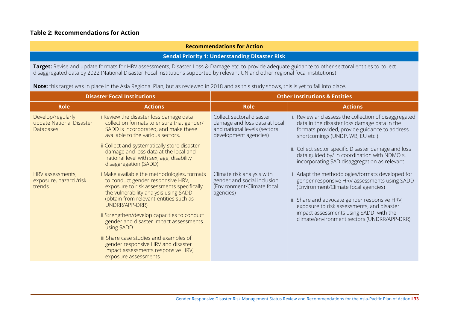## **Table 2: Recommendations for Action**

#### **Recommendations for Action**

#### **Sendai Priority 1: Understanding Disaster Risk**

**Target:** Revise and update formats for HRV assessments, Disaster Loss & Damage etc. to provide adequate guidance to other sectoral entities to collect disaggregated data by 2022 (National Disaster Focal Institutions supported by relevant UN and other regional focal institutions)

**Note:** this target was in place in the Asia Regional Plan, but as reviewed in 2018 and as this study shows, this is yet to fall into place.

|                                                                   | <b>Disaster Focal Institutions</b>                                                                                                                                                                                                                                                                                                                                                                                                                                                               |                                                                                                                      | <b>Other Institutions &amp; Entities</b>                                                                                                                                                                                                                                                                                                          |
|-------------------------------------------------------------------|--------------------------------------------------------------------------------------------------------------------------------------------------------------------------------------------------------------------------------------------------------------------------------------------------------------------------------------------------------------------------------------------------------------------------------------------------------------------------------------------------|----------------------------------------------------------------------------------------------------------------------|---------------------------------------------------------------------------------------------------------------------------------------------------------------------------------------------------------------------------------------------------------------------------------------------------------------------------------------------------|
| <b>Role</b>                                                       | <b>Actions</b>                                                                                                                                                                                                                                                                                                                                                                                                                                                                                   | <b>Role</b>                                                                                                          | <b>Actions</b>                                                                                                                                                                                                                                                                                                                                    |
| Develop/regularly<br>update National Disaster<br><b>Databases</b> | i Review the disaster loss damage data<br>collection formats to ensure that gender/<br>SADD is incorporated, and make these<br>available to the various sectors.<br>ii Collect and systematically store disaster<br>damage and loss data at the local and<br>national level with sex, age, disability<br>disaggregation (SADD)                                                                                                                                                                   | Collect sectoral disaster<br>damage and loss data at local<br>and national levels (sectoral<br>development agencies) | i. Review and assess the collection of disaggregated<br>data in the disaster loss damage data in the<br>formats provided, provide guidance to address<br>shortcomings (UNDP, WB, EU etc.)<br>ii. Collect sector specific Disaster damage and loss<br>data guided by/ in coordination with NDMO s,<br>incorporating SAD disaggregation as relevant |
| HRV assessments,<br>exposure, hazard /risk<br>trends              | <i>i</i> Make available the methodologies, formats<br>to conduct gender responsive HRV,<br>exposure to risk assessments specifically<br>the vulnerability analysis using SADD -<br>(obtain from relevant entities such as<br>UNDRR/APP-DRR)<br>ii Strengthen/develop capacities to conduct<br>gender and disaster impact assessments<br>using SADD<br>iii Share case studies and examples of<br>gender responsive HRV and disaster<br>impact assessments responsive HRV,<br>exposure assessments | Climate risk analysis with<br>gender and social inclusion<br>(Environment/Climate focal<br>agencies)                 | i. Adapt the methodologies/formats developed for<br>gender responsive HRV assessments using SADD<br>(Environment/Climate focal agencies)<br>ii. Share and advocate gender responsive HRV,<br>exposure to risk assessments, and disaster<br>impact assessments using SADD with the<br>climate/environment sectors (UNDRR/APP-DRR)                  |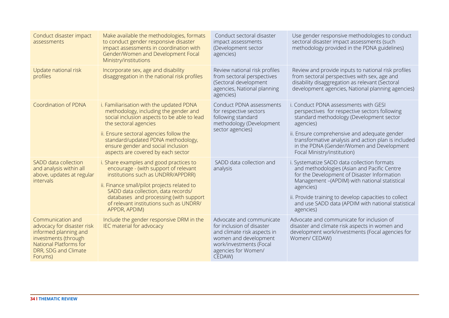| Conduct disaster impact<br>assessments                                                                                                                               | Make available the methodologies, formats<br>to conduct gender responsive disaster<br>impact assessments in coordination with<br>Gender/Women and Development Focal<br>Ministry/institutions                                                                                                                           | Conduct sectoral disaster<br>impact assessments<br>(Development sector<br>agencies)                                                                                       | Use gender responsive methodologies to conduct<br>sectoral disaster impact assessments (such<br>methodology provided in the PDNA guidelines)                                                                                                                                                                                        |
|----------------------------------------------------------------------------------------------------------------------------------------------------------------------|------------------------------------------------------------------------------------------------------------------------------------------------------------------------------------------------------------------------------------------------------------------------------------------------------------------------|---------------------------------------------------------------------------------------------------------------------------------------------------------------------------|-------------------------------------------------------------------------------------------------------------------------------------------------------------------------------------------------------------------------------------------------------------------------------------------------------------------------------------|
| Update national risk<br>profiles                                                                                                                                     | Incorporate sex, age and disability<br>disaggregation in the national risk profiles                                                                                                                                                                                                                                    | Review national risk profiles<br>from sectoral perspectives<br>(Sectoral development<br>agencies, National planning<br>agencies)                                          | Review and provide inputs to national risk profiles<br>from sectoral perspectives with sex, age and<br>disability disaggregation as relevant (Sectoral<br>development agencies, National planning agencies)                                                                                                                         |
| Coordination of PDNA                                                                                                                                                 | i. Familiarisation with the updated PDNA<br>methodology, including the gender and<br>social inclusion aspects to be able to lead<br>the sectoral agencies<br>ii. Ensure sectoral agencies follow the<br>standard/updated PDNA methodology,<br>ensure gender and social inclusion<br>aspects are covered by each sector | Conduct PDNA assessments<br>for respective sectors<br>following standard<br>methodology (Development<br>sector agencies)                                                  | i. Conduct PDNA assessments with GESI<br>perspectives for respective sectors following<br>standard methodology (Development sector<br>agencies)<br>ii. Ensure comprehensive and adequate gender<br>transformative analysis and action plan is included<br>in the PDNA (Gender/Women and Development<br>Focal Ministry/institution)  |
| SADD data collection<br>and analysis within all<br>above, updates at regular<br><i>intervals</i>                                                                     | i. Share examples and good practices to<br>encourage - (with support of relevant<br>institutions such as UNDRR/APPDRR)<br>ii. Finance small/pilot projects related to<br>SADD data collection, data records/<br>databases and processing (with support<br>of relevant institutions such as UNDRR/<br>APPDR, APDIM)     | SADD data collection and<br>analysis                                                                                                                                      | i. Systematize SADD data collection formats<br>and methodologies (Asian and Pacific Centre<br>for the Development of Disaster Information<br>Management -(APDIM) with national statistical<br>agencies)<br>ii. Provide training to develop capacities to collect<br>and use SADD data (APDIM with national statistical<br>agencies) |
| Communication and<br>advocacy for disaster risk<br>informed planning and<br>investments (through<br><b>National Platforms for</b><br>DRR, SDG and Climate<br>Forums) | Include the gender responsive DRM in the<br>IEC material for advocacy                                                                                                                                                                                                                                                  | Advocate and communicate<br>for inclusion of disaster<br>and climate risk aspects in<br>women and development<br>work/investments (Focal<br>agencies for Women/<br>CEDAW) | Advocate and communicate for inclusion of<br>disaster and climate risk aspects in women and<br>development work/investments (Focal agencies for<br>Women/ CEDAW)                                                                                                                                                                    |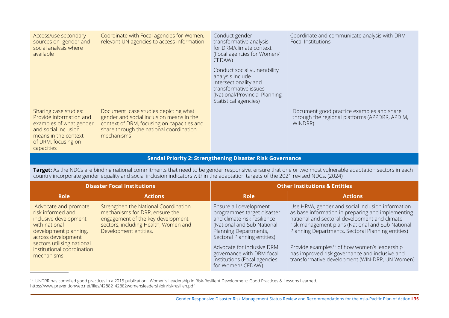| Access/use secondary<br>sources on gender and<br>social analysis where<br>available                                                                              | Coordinate with Focal agencies for Women,<br>relevant UN agencies to access information                                                                                                 | Conduct gender<br>transformative analysis<br>for DRM/climate context<br>(Focal agencies for Women/<br>CEDAW)                                                  | Coordinate and communicate analysis with DRM<br>Focal Institutions                                     |
|------------------------------------------------------------------------------------------------------------------------------------------------------------------|-----------------------------------------------------------------------------------------------------------------------------------------------------------------------------------------|---------------------------------------------------------------------------------------------------------------------------------------------------------------|--------------------------------------------------------------------------------------------------------|
|                                                                                                                                                                  |                                                                                                                                                                                         | Conduct social vulnerability<br>analysis include<br>intersectionality and<br>transformative issues<br>(National/Provincial Planning,<br>Statistical agencies) |                                                                                                        |
| Sharing case studies:<br>Provide information and<br>examples of what gender<br>and social inclusion<br>means in the context<br>of DRM, focusing on<br>capacities | Document case studies depicting what<br>gender and social inclusion means in the<br>context of DRM, focusing on capacities and<br>share through the national coordination<br>mechanisms |                                                                                                                                                               | Document good practice examples and share<br>through the regional platforms (APPDRR, APDIM,<br>WINDRR) |

### **Sendai Priority 2: Strengthening Disaster Risk Governance**

**Target:** As the NDCs are binding national commitments that need to be gender responsive, ensure that one or two most vulnerable adaptation sectors in each country incorporate gender equality and social inclusion indicators within the adaptation targets of the 2021 revised NDCs. (2024)

|                                                                                                                                                                                                                                                                                                                                                                                              | <b>Disaster Focal Institutions</b>                                                                           |                                                                                                                                                                           | <b>Other Institutions &amp; Entities</b>                                                                                                                                                                                                                         |
|----------------------------------------------------------------------------------------------------------------------------------------------------------------------------------------------------------------------------------------------------------------------------------------------------------------------------------------------------------------------------------------------|--------------------------------------------------------------------------------------------------------------|---------------------------------------------------------------------------------------------------------------------------------------------------------------------------|------------------------------------------------------------------------------------------------------------------------------------------------------------------------------------------------------------------------------------------------------------------|
| <b>Role</b>                                                                                                                                                                                                                                                                                                                                                                                  | <b>Actions</b>                                                                                               | <b>Role</b>                                                                                                                                                               | <b>Actions</b>                                                                                                                                                                                                                                                   |
| Strengthen the National Coordination<br>Advocate and promote<br>mechanisms for DRR, ensure the<br>risk informed and<br>engagement of the key development<br>inclusive development<br>sectors, including Health, Women and<br>with national<br>Development entities.<br>development planning,<br>across development<br>sectors utilising national<br>institutional coordination<br>mechanisms |                                                                                                              | Ensure all development<br>programmes target disaster<br>and climate risk resilience<br>(National and Sub National<br>Planning Departments,<br>Sectoral Planning entities) | Use HRVA, gender and social inclusion information<br>as base information in preparing and implementing<br>national and sectoral development and climate<br>risk management plans (National and Sub National<br>Planning Departments, Sectoral Planning entities) |
|                                                                                                                                                                                                                                                                                                                                                                                              | Advocate for inclusive DRM<br>governance with DRM focal<br>institutions (Focal agencies<br>for Women/ CEDAW) | Provide examples <sup>15</sup> of how women's leadership<br>has improved risk governance and inclusive and<br>transformative development (WIN-DRR, UN Women)              |                                                                                                                                                                                                                                                                  |

15 UNDRR has compiled good practices in a 2015 publication: Women's Leadership in Risk-Resilient Development: Good Practices & Lessons Learned. https://www.preventionweb.net/files/42882\_42882womensleadershipinriskresilien.pdf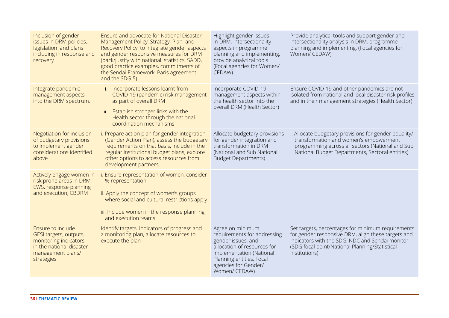| Inclusion of gender<br>issues in DRM policies,<br>legislation and plans<br>including in response and<br>recovery                    | Ensure and advocate for National Disaster<br>Management Policy, Strategy, Plan and<br>Recovery Policy, to integrate gender aspects<br>and gender responsive measures for DRM<br>(back/justify with national statistics, SADD,<br>good practice examples, commitments of<br>the Sendai Framework, Paris agreement<br>and the SDG 5) | Highlight gender issues<br>in DRM, intersectionality<br>aspects in programme<br>planning and implementing,<br>provide analytical tools<br>(Focal agencies for Women/<br>CEDAW)                        | Provide analytical tools and support gender and<br>intersectionality analysis in DRM, programme<br>planning and implementing, (Focal agencies for<br>Women/ CEDAW)                                                            |
|-------------------------------------------------------------------------------------------------------------------------------------|------------------------------------------------------------------------------------------------------------------------------------------------------------------------------------------------------------------------------------------------------------------------------------------------------------------------------------|-------------------------------------------------------------------------------------------------------------------------------------------------------------------------------------------------------|-------------------------------------------------------------------------------------------------------------------------------------------------------------------------------------------------------------------------------|
| Integrate pandemic<br>management aspects<br>into the DRM spectrum.                                                                  | i. Incorporate lessons learnt from<br>COVID-19 (pandemic) risk management<br>as part of overall DRM<br>Establish stronger links with the<br>ii.<br>Health sector through the national<br>coordination mechanisms                                                                                                                   | Incorporate COVID-19<br>management aspects within<br>the health sector into the<br>overall DRM (Health Sector)                                                                                        | Ensure COVID-19 and other pandemics are not<br>isolated from national and local disaster risk profiles<br>and in their management strategies (Health Sector)                                                                  |
| Negotiation for inclusion<br>of budgetary provisions<br>to implement gender<br>considerations identified<br>above                   | i. Prepare action plan for gender integration<br>(Gender Action Plan), assess the budgetary<br>requirements on that basis, include in the<br>regular institutional budget plans, explore<br>other options to access resources from<br>development partners.                                                                        | Allocate budgetary provisions<br>for gender integration and<br>transformation in DRM<br>(National and Sub National<br><b>Budget Departments)</b>                                                      | . Allocate budgetary provisions for gender equality/<br>transformation and women's empowerment<br>programming across all sectors (National and Sub<br>National Budget Departments, Sectoral entities)                         |
| Actively engage women in<br>risk prone areas in DRM;<br>EWS, response planning<br>and execution, CBDRM                              | i. Ensure representation of women, consider<br>% representation<br>ii. Apply the concept of women's groups<br>where social and cultural restrictions apply<br>iii. Include women in the response planning<br>and execution teams                                                                                                   |                                                                                                                                                                                                       |                                                                                                                                                                                                                               |
| Ensure to include<br>GESI targets, outputs,<br>monitoring indicators<br>in the national disaster<br>management plans/<br>strategies | Identify targets, indicators of progress and<br>a monitoring plan, allocate resources to<br>execute the plan                                                                                                                                                                                                                       | Agree on minimum<br>requirements for addressing<br>gender issues, and<br>allocation of resources for<br>implementation (National<br>Planning entities, Focal<br>agencies for Gender/<br>Women/ CEDAW) | Set targets, percentages for minimum requirements<br>for gender responsive DRM, align these targets and<br>indicators with the SDG, NDC and Sendai monitor<br>(SDG focal point/National Planning/Statistical<br>Institutions) |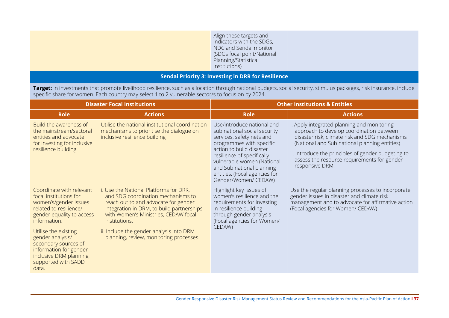|                                                           | Align these targets and<br>indicators with the SDGs,<br>NDC and Sendai monitor<br>(SDGs focal point/National<br>Planning/Statistical<br>Institutions) |  |
|-----------------------------------------------------------|-------------------------------------------------------------------------------------------------------------------------------------------------------|--|
| <b>Sendai Priority 3: Investing in DRR for Resilience</b> |                                                                                                                                                       |  |

**Target:** In investments that promote livelihood resilience, such as allocation through national budgets, social security, stimulus packages, risk insurance, include specific share for women. Each country may select 1 to 2 vulnerable sector/s to focus on by 2024.

| <b>Disaster Focal Institutions</b>                                                                                                                                                                                                                                                                         |                                                                                                                                                                                                                                                                                                                   | <b>Other Institutions &amp; Entities</b>                                                                                                                                                                                                                                                          |                                                                                                                                                                                                                                                                                                                     |  |
|------------------------------------------------------------------------------------------------------------------------------------------------------------------------------------------------------------------------------------------------------------------------------------------------------------|-------------------------------------------------------------------------------------------------------------------------------------------------------------------------------------------------------------------------------------------------------------------------------------------------------------------|---------------------------------------------------------------------------------------------------------------------------------------------------------------------------------------------------------------------------------------------------------------------------------------------------|---------------------------------------------------------------------------------------------------------------------------------------------------------------------------------------------------------------------------------------------------------------------------------------------------------------------|--|
| <b>Role</b>                                                                                                                                                                                                                                                                                                | <b>Actions</b>                                                                                                                                                                                                                                                                                                    | <b>Role</b>                                                                                                                                                                                                                                                                                       | <b>Actions</b>                                                                                                                                                                                                                                                                                                      |  |
| Build the awareness of<br>the mainstream/sectoral<br>entities and advocate<br>for investing for inclusive<br>resilience building                                                                                                                                                                           | Utilise the national institutional coordination<br>mechanisms to prioritise the dialogue on<br>inclusive resilience building                                                                                                                                                                                      | Use/introduce national and<br>sub national social security<br>services, safety nets and<br>programmes with specific<br>action to build disaster<br>resilience of specifically<br>vulnerable women (National<br>and Sub national planning<br>entities, (Focal agencies for<br>Gender/Women/ CEDAW) | i. Apply integrated planning and monitoring<br>approach to develop coordination between<br>disaster risk, climate risk and SDG mechanisms<br>(National and Sub national planning entities)<br>ii. Introduce the principles of gender budgeting to<br>assess the resource requirements for gender<br>responsive DRM. |  |
| Coordinate with relevant<br>focal institutions for<br>women's/gender issues<br>related to resilience/<br>gender equality to access<br>information<br>Utilise the existing<br>gender analysis/<br>secondary sources of<br>information for gender<br>inclusive DRM planning,<br>supported with SADD<br>data. | i. Use the National Platforms for DRR,<br>and SDG coordination mechanisms to<br>reach out to and advocate for gender<br>integration in DRM, to build partnerships<br>with Women's Ministries, CEDAW focal<br>institutions.<br>ii. Include the gender analysis into DRM<br>planning, review, monitoring processes. | Highlight key issues of<br>women's resilience and the<br>requirements for investing<br>in resilience building<br>through gender analysis<br>(Focal agencies for Women/<br>CEDAW)                                                                                                                  | Use the regular planning processes to incorporate<br>gender issues in disaster and climate risk<br>management and to advocate for affirmative action<br>(Focal agencies for Women/ CEDAW)                                                                                                                           |  |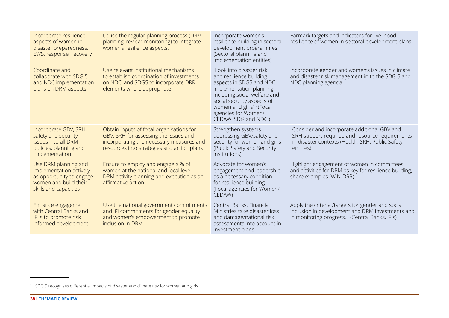| Incorporate resilience<br>aspects of women in<br>disaster preparedness,<br>EWS, response, recovery                            | Utilise the regular planning process (DRM<br>planning, review, monitoring) to integrate<br>women's resilience aspects.                                                      | Incorporate women's<br>resilience building in sectoral<br>development programmes<br>(Sectoral planning and<br>implementation entities)                                                                                                                         | Earmark targets and indicators for livelihood<br>resilience of women in sectoral development plans                                                             |
|-------------------------------------------------------------------------------------------------------------------------------|-----------------------------------------------------------------------------------------------------------------------------------------------------------------------------|----------------------------------------------------------------------------------------------------------------------------------------------------------------------------------------------------------------------------------------------------------------|----------------------------------------------------------------------------------------------------------------------------------------------------------------|
| Coordinate and<br>collaborate with SDG 5<br>and NDC implementation<br>plans on DRM aspects                                    | Use relevant institutional mechanisms<br>to establish coordination of investments<br>on NDC, and SDG5 to incorporate DRR<br>elements where appropriate                      | Look into disaster risk<br>and resilience building<br>aspects in SDG5 and NDC<br>implementation planning,<br>including social welfare and<br>social security aspects of<br>women and girls <sup>16</sup> (Focal<br>agencies for Women/<br>CEDAW, SDG and NDC;) | Incorporate gender and women's issues in climate<br>and disaster risk management in to the SDG 5 and<br>NDC planning agenda                                    |
| Incorporate GBV, SRH,<br>safety and security<br>issues into all DRM<br>policies, planning and<br>implementation               | Obtain inputs of focal organisations for<br>GBV, SRH for assessing the issues and<br>incorporating the necessary measures and<br>resources into strategies and action plans | Strengthen systems<br>addressing GBV/safety and<br>security for women and girls<br>(Public Safety and Security<br>institutions)                                                                                                                                | Consider and incorporate additional GBV and<br>SRH support required and resource requirements<br>in disaster contexts (Health, SRH, Public Safety<br>entities) |
| Use DRM planning and<br>implementation actively<br>as opportunity to engage<br>women and build their<br>skills and capacities | Ensure to employ and engage a % of<br>women at the national and local level<br>DRM activity planning and execution as an<br>affirmative action.                             | Advocate for women's<br>engagement and leadership<br>as a necessary condition<br>for resilience building<br>(Focal agencies for Women/<br>CEDAW)                                                                                                               | Highlight engagement of women in committees<br>and activities for DRM as key for resilience building,<br>share examples (WIN-DRR)                              |
| Enhance engagement<br>with Central Banks and<br>IFI s to promote risk<br>informed development                                 | Use the national government commitments<br>and IFI commitments for gender equality<br>and women's empowerment to promote<br>inclusion in DRM                                | Central Banks, Financial<br>Ministries take disaster loss<br>and damage/national risk<br>assessments into account in<br>investment plans                                                                                                                       | Apply the criteria /targets for gender and social<br>inclusion in development and DRM investments and<br>in monitoring progress. (Central Banks, IFIs)         |

<sup>16</sup> SDG 5 recognises differential impacts of disaster and climate risk for women and girls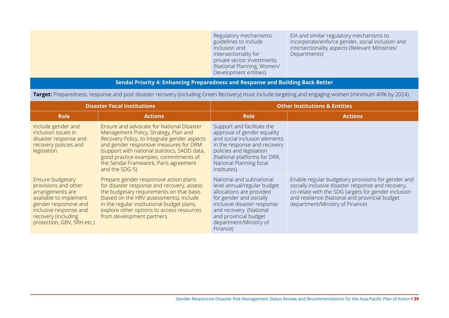Regulatory mechanisms/ guidelines to include inclusion and intersectionality for private sector investments (National Planning, Women/ Development entities) EIA and similar regulatory mechanisms to incorporate/enforce gender, social inclusion and intersectionality aspects (Relevant Ministries/ Departments)

## **Sendai Priority 4: Enhancing Preparedness and Response and Building Back Better**

**Target:** Preparedness, response and post disaster recovery (including Green Recovery) must include targeting and engaging women (minimum 40% by 2024).

| <b>Disaster Focal Institutions</b>                                                                                                                                                             |                                                                                                                                                                                                                                                                                                                                    | <b>Other Institutions &amp; Entities</b>                                                                                                                                                                                                |                                                                                                                                                                                                                                                      |  |
|------------------------------------------------------------------------------------------------------------------------------------------------------------------------------------------------|------------------------------------------------------------------------------------------------------------------------------------------------------------------------------------------------------------------------------------------------------------------------------------------------------------------------------------|-----------------------------------------------------------------------------------------------------------------------------------------------------------------------------------------------------------------------------------------|------------------------------------------------------------------------------------------------------------------------------------------------------------------------------------------------------------------------------------------------------|--|
| <b>Role</b>                                                                                                                                                                                    | <b>Actions</b>                                                                                                                                                                                                                                                                                                                     | <b>Role</b>                                                                                                                                                                                                                             | <b>Actions</b>                                                                                                                                                                                                                                       |  |
| Include gender and<br>inclusion issues in<br>disaster response and<br>recovery policies and<br>legislation.                                                                                    | Ensure and advocate for National Disaster<br>Management Policy, Strategy, Plan and<br>Recovery Policy, to integrate gender aspects<br>and gender responsive measures for DRM<br>(support with national statistics, SADD data,<br>good practice examples, commitments of<br>the Sendai Framework, Paris agreement<br>and the SDG 5) | Support and facilitate the<br>approval of gender equality<br>and social inclusion elements<br>in the response and recovery<br>policies and legislation<br>(National platforms for DRR,<br>National Planning focal<br>institutes)        |                                                                                                                                                                                                                                                      |  |
| Ensure budgetary<br>provisions and other<br>arrangements are<br>available to implement<br>gender responsive and<br>inclusive response and<br>recovery (including<br>protection, GBV, SRH etc.) | Prepare gender responsive action plans<br>for disaster response and recovery, assess<br>the budgetary requirements on that basis<br>(based on the HRV assessments), include<br>in the regular institutional budget plans,<br>explore other options to access resources<br>from development partners.                               | National and subnational<br>level annual/regular budget<br>allocations are provided<br>for gender and socially<br>inclusive disaster response<br>and recovery. (National<br>and provincial budget<br>department/Ministry of<br>Finance) | Enable regular budgetary provisions for gender and<br>socially inclusive disaster response and recovery,<br>co-relate with the SDG targets for gender inclusion<br>and resilience (National and provincial budget<br>department/Ministry of Finance) |  |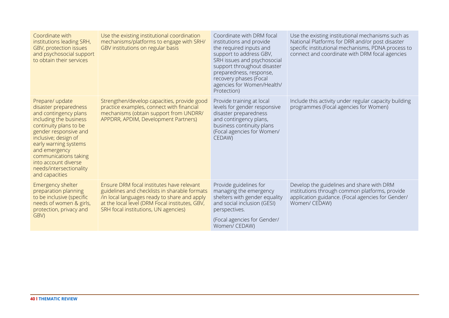| Coordinate with<br>institutions leading SRH,<br>GBV, protection issues<br>and psychosocial support<br>to obtain their services                                                                                                                                                                                 | Use the existing institutional coordination<br>mechanisms/platforms to engage with SRH/<br>GBV institutions on regular basis                                                                                                         | Coordinate with DRM focal<br>institutions and provide<br>the required inputs and<br>support to address GBV,<br>SRH issues and psychosocial<br>support throughout disaster<br>preparedness, response,<br>recovery phases (Focal<br>agencies for Women/Health/<br>Protection) | Use the existing institutional mechanisms such as<br>National Platforms for DRR and/or post disaster<br>specific institutional mechanisms, PDNA process to<br>connect and coordinate with DRM focal agencies |
|----------------------------------------------------------------------------------------------------------------------------------------------------------------------------------------------------------------------------------------------------------------------------------------------------------------|--------------------------------------------------------------------------------------------------------------------------------------------------------------------------------------------------------------------------------------|-----------------------------------------------------------------------------------------------------------------------------------------------------------------------------------------------------------------------------------------------------------------------------|--------------------------------------------------------------------------------------------------------------------------------------------------------------------------------------------------------------|
| Prepare/ update<br>disaster preparedness<br>and contingency plans<br>including the business<br>continuity plans to be<br>gender responsive and<br>inclusive; design of<br>early warning systems<br>and emergency<br>communications taking<br>into account diverse<br>needs/intersectionality<br>and capacities | Strengthen/develop capacities, provide good<br>practice examples, connect with financial<br>mechanisms (obtain support from UNDRR/<br>APPDRR, APDIM, Development Partners)                                                           | Provide training at local<br>levels for gender responsive<br>disaster preparedness<br>and contingency plans,<br>business continuity plans<br>(Focal agencies for Women/<br>CEDAW)                                                                                           | Include this activity under regular capacity building<br>programmes (Focal agencies for Women)                                                                                                               |
| Emergency shelter<br>preparation planning<br>to be inclusive (specific<br>needs of women & girls,<br>protection, privacy and<br>GBV)                                                                                                                                                                           | Ensure DRM focal institutes have relevant<br>guidelines and checklists in sharable formats<br>/in local languages ready to share and apply<br>at the local level (DRM Focal institutes, GBV,<br>SRH focal institutions, UN agencies) | Provide guidelines for<br>managing the emergency<br>shelters with gender equality<br>and social inclusion (GESI)<br>perspectives.<br>(Focal agencies for Gender/<br>Women/ CEDAW)                                                                                           | Develop the guidelines and share with DRM<br>institutions through common platforms, provide<br>application guidance. (Focal agencies for Gender/<br>Women/ CEDAW)                                            |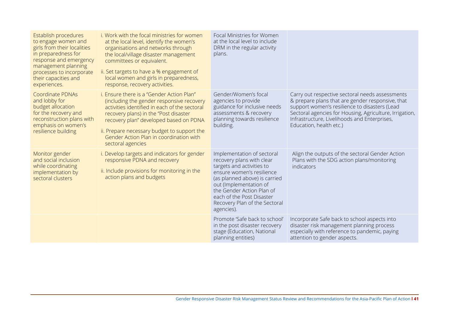| Establish procedures<br>to engage women and<br>girls from their localities<br>in preparedness for<br>response and emergency<br>management planning<br>processes to incorporate<br>their capacities and<br>experiences. | i. Work with the focal ministries for women<br>at the local level, identify the women's<br>organisations and networks through<br>the local/village disaster management<br>committees or equivalent.<br>ii. Set targets to have a % engagement of<br>local women and girls in preparedness,<br>response, recovery activities.              | Focal Ministries for Women<br>at the local level to include<br>DRM in the regular activity<br>plans.                                                                                                                                                                                  |                                                                                                                                                                                                                                                                                            |
|------------------------------------------------------------------------------------------------------------------------------------------------------------------------------------------------------------------------|-------------------------------------------------------------------------------------------------------------------------------------------------------------------------------------------------------------------------------------------------------------------------------------------------------------------------------------------|---------------------------------------------------------------------------------------------------------------------------------------------------------------------------------------------------------------------------------------------------------------------------------------|--------------------------------------------------------------------------------------------------------------------------------------------------------------------------------------------------------------------------------------------------------------------------------------------|
| <b>Coordinate PDNAs</b><br>and lobby for<br>budget allocation<br>for the recovery and<br>reconstruction plans with<br>emphasis on women's<br>resilience building                                                       | i. Ensure there is a "Gender Action Plan"<br>(including the gender responsive recovery<br>activities identified in each of the sectoral<br>recovery plans) in the "Post disaster<br>recovery plan" developed based on PDNA<br>ii. Prepare necessary budget to support the<br>Gender Action Plan in coordination with<br>sectoral agencies | Gender/Women's focal<br>agencies to provide<br>guidance for inclusive needs<br>assessments & recovery<br>planning towards resilience<br>building.                                                                                                                                     | Carry out respective sectoral needs assessments<br>& prepare plans that are gender responsive, that<br>support women's resilience to disasters (Lead<br>Sectoral agencies for Housing, Agriculture, Irrigation,<br>Infrastructure, Livelihoods and Enterprises,<br>Education, health etc.) |
| Monitor gender<br>and social inclusion<br>while coordinating<br>implementation by<br>sectoral clusters                                                                                                                 | i. Develop targets and indicators for gender<br>responsive PDNA and recovery<br>ii. Include provisions for monitoring in the<br>action plans and budgets                                                                                                                                                                                  | Implementation of sectoral<br>recovery plans with clear<br>targets and activities to<br>ensure women's resilience<br>(as planned above) is carried<br>out (Implementation of<br>the Gender Action Plan of<br>each of the Post Disaster<br>Recovery Plan of the Sectoral<br>agencies). | Align the outputs of the sectoral Gender Action<br>Plans with the SDG action plans/monitoring<br>indicators                                                                                                                                                                                |
|                                                                                                                                                                                                                        |                                                                                                                                                                                                                                                                                                                                           | Promote 'Safe back to school'<br>in the post disaster recovery<br>stage (Education, National<br>planning entities)                                                                                                                                                                    | Incorporate Safe back to school aspects into<br>disaster risk management planning process<br>especially with reference to pandemic, paying<br>attention to gender aspects.                                                                                                                 |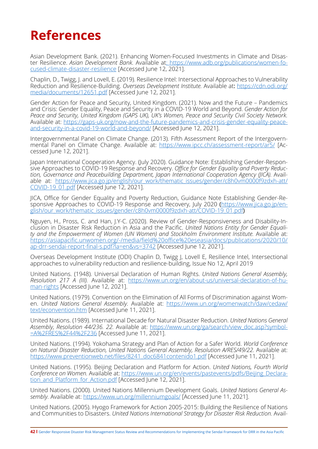# <span id="page-46-0"></span>**References**

Asian Development Bank. (2021). Enhancing Women-Focused Investments in Climate and Disaster Resilience. *Asian Development Bank.* Available a[t: https://www.adb.org/publications/women-fo](file:///C:\Users\Ramona%20Miranda\AppData\Local\Temp\:%20https:\www.adb.org\publications\women-focused-climate-disaster-resilience)[cused-climate-disaster-resilience](file:///C:\Users\Ramona%20Miranda\AppData\Local\Temp\:%20https:\www.adb.org\publications\women-focused-climate-disaster-resilience) [Accessed June 12, 2021].

Chaplin, D., Twigg, J. and Lovell, E. (2019). Resilience Intel: Intersectional Approaches to Vulnerability Reduction and Resilience-Building. *Overseas Development Institute.* Available at: [https://cdn.odi.org/](https://cdn.odi.org/media/documents/12651.pdf) [media/documents/12651.pdf](https://cdn.odi.org/media/documents/12651.pdf) [Accessed June 12, 2021].

Gender Action for Peace and Security, United Kingdom. (2021). Now and the Future – Pandemics and Crisis: Gender Equality, Peace and Security in a COVID-19 World and Beyond. *Gender Action for Peace and Security, United Kingdom (GAPS UK), UK's Women, Peace and Security Civil Society Network.* Available at: [https://gaps-uk.org/now-and-the-future-pandemics-and-crisis-gender-equality-peace](https://gaps-uk.org/now-and-the-future-pandemics-and-crisis-gender-equality-peace-and-security-in-a-covid-19-world-and-beyond/)[and-security-in-a-covid-19-world-and-beyond/](https://gaps-uk.org/now-and-the-future-pandemics-and-crisis-gender-equality-peace-and-security-in-a-covid-19-world-and-beyond/) [Accessed June 12, 2021].

Intergovernmental Panel on Climate Change. (2013). Fifth Assessment Report of the Intergovernmental Panel on Climate Change. Available at: <https://www.ipcc.ch/assessment-report/ar5/> [Accessed June 12, 2021].

Japan International Cooperation Agency. (July 2020). Guidance Note: Establishing Gender-Responsive Approaches to COVID-19 Response and Recovery. *Office for Gender Equality and Poverty Reduction, Governance and Peacebuilding Department, Japan International Cooperation Agency (JICA).* Available at: [https://www.jica.go.jp/english/our\\_work/thematic\\_issues/gender/c8h0vm0000f9zdxh-att/](https://www.jica.go.jp/english/our_work/thematic_issues/gender/c8h0vm0000f9zdxh-att/COVID-19_01.pdf) [COVID-19\\_01.pdf](https://www.jica.go.jp/english/our_work/thematic_issues/gender/c8h0vm0000f9zdxh-att/COVID-19_01.pdf) [Accessed June 12, 2021].

JICA, Office for Gender Equality and Poverty Reduction, Guidance Note Establishing Gender-Responsive Approaches to COVID-19 Response and Recovery, July 2020 ([https://www.jica.go.jp/en](https://www.jica.go.jp/english/our_work/thematic_issues/gender/c8h0vm0000f9zdxh-att/COVID-19_01.pdf)[glish/our\\_work/thematic\\_issues/gender/c8h0vm0000f9zdxh-att/COVID-19\\_01.pdf](https://www.jica.go.jp/english/our_work/thematic_issues/gender/c8h0vm0000f9zdxh-att/COVID-19_01.pdf))

Nguyen, H., Pross, C. and Han, J.Y-C. (2020). Review of Gender-Responsiveness and Disability-Inclusion in Disaster Risk Reduction in Asia and the Pacific. *United Nations Entity for Gender Equality and the Empowerment of Women (UN Women) and Stockholm Environment Institute.* Available at: [https://asiapacific.unwomen.org/-/media/field%20office%20eseasia/docs/publications/2020/10/](https://asiapacific.unwomen.org/-/media/field%20office%20eseasia/docs/publications/2020/10/ap-drr-sendai-report-final-s.pdf?la=en&vs=3742) [ap-drr-sendai-report-final-s.pdf?la=en&vs=3742](https://asiapacific.unwomen.org/-/media/field%20office%20eseasia/docs/publications/2020/10/ap-drr-sendai-report-final-s.pdf?la=en&vs=3742) [Accessed June 12, 2021].

Overseas Development Institute (ODI) Chaplin D, Twigg J, Lovell E, Resilience Intel, Intersectional approaches to vulnerability reduction and resilience-building, Issue No 12, April 2019

United Nations. (1948). Universal Declaration of Human Rights. *United Nations General Assembly, Resolution 217 A (III).* Available at: [https://www.un.org/en/about-us/universal-declaration-of-hu](https://www.un.org/en/about-us/universal-declaration-of-human-rights)[man-rights](https://www.un.org/en/about-us/universal-declaration-of-human-rights) [Accessed June 12, 2021].

United Nations. (1979). Convention on the Elimination of All Forms of Discrimination against Women. *United Nations General Assembly.* Available at: [https://www.un.org/womenwatch/daw/cedaw/](https://www.un.org/womenwatch/daw/cedaw/text/econvention.htm) [text/econvention.htm](https://www.un.org/womenwatch/daw/cedaw/text/econvention.htm) [Accessed June 11, 2021].

United Nations. (1989). International Decade for Natural Disaster Reduction. *United Nations General Assembly, Resolution 44/236. 22.* Available at: [https://www.un.org/ga/search/view\\_doc.asp?symbol-](https://www.un.org/ga/search/view_doc.asp?symbol=A%2FRES%2F44%2F236) [=A%2FRES%2F44%2F236](https://www.un.org/ga/search/view_doc.asp?symbol=A%2FRES%2F44%2F236) [Accessed June 11, 2021].

United Nations. (1994). Yokohama Strategy and Plan of Action for a Safer World. *World Conference on Natural Disaster Reduction, United Nations General Assembly, Resolution A/RES/49/22.* Available at: [https://www.preventionweb.net/files/8241\\_doc6841contenido1.pdf](https://www.preventionweb.net/files/8241_doc6841contenido1.pdf%20) [Accessed June 11, 2021].

United Nations. (1995). Beijing Declaration and Platform for Action. *United Nations, Fourth World Conference on Women.* Available at: [https://www.un.org/en/events/pastevents/pdfs/Beijing\\_Declara](https://www.un.org/en/events/pastevents/pdfs/Beijing_Declaration_and_Platform_for_Action.pdf)[tion\\_and\\_Platform\\_for\\_Action.pdf](https://www.un.org/en/events/pastevents/pdfs/Beijing_Declaration_and_Platform_for_Action.pdf) [Accessed June 12, 2021].

United Nations. (2000). United Nations Millennium Development Goals. *United Nations General Assembly.* Available at: [https://www.un.org/millenniumgoals/](https://www.un.org/millenniumgoals/%20) [Accessed June 11, 2021].

United Nations. (2005). Hyogo Framework for Action 2005-2015: Building the Resilience of Nations and Communities to Disasters. *United Nations International Strategy for Disaster Risk Reduction.* Avail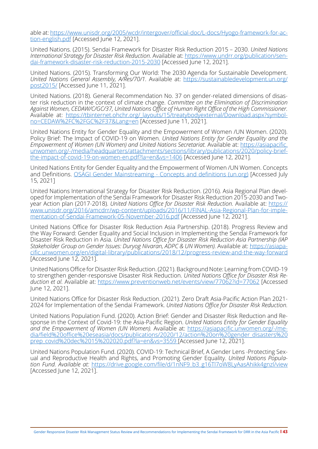able at: [https://www.unisdr.org/2005/wcdr/intergover/official-doc/L-docs/Hyogo-framework-for-ac](https://www.unisdr.org/2005/wcdr/intergover/official-doc/L-docs/Hyogo-framework-for-action-english.pdf)[tion-english.pdf](https://www.unisdr.org/2005/wcdr/intergover/official-doc/L-docs/Hyogo-framework-for-action-english.pdf) [Accessed June 12, 2021].

United Nations. (2015). Sendai Framework for Disaster Risk Reduction 2015 – 2030. *United Nations International Strategy for Disaster Risk Reduction.* Available at: [https://www.undrr.org/publication/sen](https://www.undrr.org/publication/sendai-framework-disaster-risk-reduction-2015-2030)[dai-framework-disaster-risk-reduction-2015-2030](https://www.undrr.org/publication/sendai-framework-disaster-risk-reduction-2015-2030) [Accessed June 12, 2021].

United Nations. (2015). Transforming Our World: The 2030 Agenda for Sustainable Development. *United Nations General Assembly, A/Res/70/1.* Available at: [https://sustainabledevelopment.un.org/](https://sustainabledevelopment.un.org/post2015/) [post2015/](https://sustainabledevelopment.un.org/post2015/) [Accessed June 11, 2021].

United Nations. (2018). General Recommendation No. 37 on gender-related dimensions of disaster risk reduction in the context of climate change. *Committee on the Elimination of Discrimination Against Women, CEDAW/C/GC/37, United Nations Office of Human Right Office of the High Commissioner.* Available at: [https://tbinternet.ohchr.org/\\_layouts/15/treatybodyexternal/Download.aspx?symbol](https://tbinternet.ohchr.org/_layouts/15/treatybodyexternal/Download.aspx?symbolno=CEDAW%2FC%2FGC%2F37&Lang=en)[no=CEDAW%2FC%2FGC%2F37&Lang=en](https://tbinternet.ohchr.org/_layouts/15/treatybodyexternal/Download.aspx?symbolno=CEDAW%2FC%2FGC%2F37&Lang=en) [Accessed June 11, 2021].

United Nations Entity for Gender Equality and the Empowerment of Women /UN Women. (2020). Policy Brief: The Impact of COVID-19 on Women. *United Nations Entity for Gender Equality and the Empowerment of Women (UN Women) and United Nations Secretariat.* Available at: [https://asiapacific.](https://asiapacific.unwomen.org/-/media/headquarters/attachments/sections/library/publications/2020/policy-brief-the-impact-of-covid-19-on-women-en.pdf?la=en&vs=1406) [unwomen.org/-/media/headquarters/attachments/sections/library/publications/2020/policy-brief](https://asiapacific.unwomen.org/-/media/headquarters/attachments/sections/library/publications/2020/policy-brief-the-impact-of-covid-19-on-women-en.pdf?la=en&vs=1406)[the-impact-of-covid-19-on-women-en.pdf?la=en&vs=1406](https://asiapacific.unwomen.org/-/media/headquarters/attachments/sections/library/publications/2020/policy-brief-the-impact-of-covid-19-on-women-en.pdf?la=en&vs=1406) [Accessed June 12, 2021].

United Nations Entity for Gender Equality and the Empowerment of Women /UN Women. Concepts and Definitions. [OSAGI Gender Mainstreaming - Concepts and definitions \(un.org\)](https://www.un.org/womenwatch/osagi/conceptsandefinitions.htm) [Accessed July 15, 2021]

United Nations International Strategy for Disaster Risk Reduction. (2016). Asia Regional Plan developed for Implementation of the Sendai Framework for Disaster Risk Reduction 2015-2030 and Twoyear Action plan (2017-2018). *United Nations Office for Disaster Risk Reduction.* Available at: [https://](https://www.unisdr.org/2016/amcdrr/wp-content/uploads/2016/11/FINAL-Asia-Regional-Plan-for-implementation-of-Sendai-Framework-05-November-2016.pdf) [www.unisdr.org/2016/amcdrr/wp-content/uploads/2016/11/FINAL-Asia-Regional-Plan-for-imple](https://www.unisdr.org/2016/amcdrr/wp-content/uploads/2016/11/FINAL-Asia-Regional-Plan-for-implementation-of-Sendai-Framework-05-November-2016.pdf)[mentation-of-Sendai-Framework-05-November-2016.pdf](https://www.unisdr.org/2016/amcdrr/wp-content/uploads/2016/11/FINAL-Asia-Regional-Plan-for-implementation-of-Sendai-Framework-05-November-2016.pdf) [Accessed June 12, 2021].

United Nations Office for Disaster Risk Reduction Asia Partnership. (2018). Progress Review and the Way Forward: Gender Equality and Social Inclusion in Implementing the Sendai Framework for Disaster Risk Reduction in Asia. *United Nations Office for Disaster Risk Reduction Asia Partnership (IAP Stakeholder Group on Gender Issues: Duryog Nivaran, ADPC & UN Women).* Available at: [https://asiapa](https://asiapacific.unwomen.org/en/digital-library/publications/2018/12/progress-review-and-the-way-forward)[cific.unwomen.org/en/digital-library/publications/2018/12/progress-review-and-the-way-forward](https://asiapacific.unwomen.org/en/digital-library/publications/2018/12/progress-review-and-the-way-forward) [Accessed June 12, 2021].

United Nations Office for Disaster Risk Reduction. (2021). Background Note: Learning from COVID-19 to strengthen gender-responsive Disaster Risk Reduction. *United Nations Office for Disaster Risk Reduction et al.* Available at: <https://www.preventionweb.net/events/view/77062?id=77062> [Accessed June 12, 2021].

United Nations Office for Disaster Risk Reduction. (2021). Zero Draft Asia-Pacific Action Plan 2021- 2024 for Implementation of the Sendai Framework. *United Nations Office for Disaster Risk Reduction.*

United Nations Population Fund. (2020). Action Brief: Gender and Disaster Risk Reduction and Response in the Context of Covid-19: the Asia-Pacific Region. *United Nations Entity for Gender Equality and the Empowerment of Women (UN Women).* Available at: [https://asiapacific.unwomen.org/-/me](https://asiapacific.unwomen.org/-/media/field%20office%20eseasia/docs/publications/2020/12/action%20on%20gender_disasters%20prep_covid%20dec%2015%202020.pdf?la=en&vs=3559)[dia/field%20office%20eseasia/docs/publications/2020/12/action%20on%20gender\\_disasters%20](https://asiapacific.unwomen.org/-/media/field%20office%20eseasia/docs/publications/2020/12/action%20on%20gender_disasters%20prep_covid%20dec%2015%202020.pdf?la=en&vs=3559) [prep\\_covid%20dec%2015%202020.pdf?la=en&vs=3559](https://asiapacific.unwomen.org/-/media/field%20office%20eseasia/docs/publications/2020/12/action%20on%20gender_disasters%20prep_covid%20dec%2015%202020.pdf?la=en&vs=3559) [Accessed June 12, 2021].

United Nations Population Fund. (2020). COVID-19: Technical Brief, A Gender Lens -Protecting Sexual and Reproductive Health and Rights, and Promoting Gender Equality. *United Nations Population Fund. Available at:* [https://drive.google.com/file/d/1nNF9\\_b3\\_g16Tl7oW8LyAasAhikk4gnzl/view](https://drive.google.com/file/d/1nNF9_b3_g16Tl7oW8LyAasAhikk4gnzl/view)  $[Accessed June 12, 2021]$ .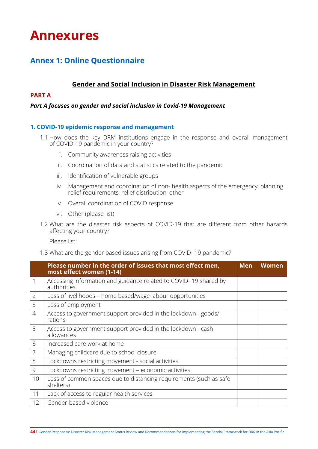# <span id="page-48-0"></span>**Annexures**

## **Annex 1: Online Questionnaire**

## **Gender and Social Inclusion in Disaster Risk Management**

## **PART A**

## *Part A focuses on gender and social inclusion in Covid-19 Management*

## **1. COVID-19 epidemic response and management**

- 1.1 How does the key DRM institutions engage in the response and overall management of COVID-19 pandemic in your country?
	- i. Community awareness raising activities
	- ii. Coordination of data and statistics related to the pandemic
	- iii. Identification of vulnerable groups
	- iv. Management and coordination of non- health aspects of the emergency: planning relief requirements, relief distribution, other
	- v. Overall coordination of COVID response
	- vi. Other (please list)
- 1.2 What are the disaster risk aspects of COVID-19 that are different from other hazards affecting your country?

Please list:

1.3 What are the gender based issues arising from COVID- 19 pandemic?

|                | Please number in the order of issues that most effect men,<br>most effect women (1-14) | <b>Men</b> | <b>Women</b> |
|----------------|----------------------------------------------------------------------------------------|------------|--------------|
| 1              | Accessing information and guidance related to COVID-19 shared by<br>authorities        |            |              |
| $\overline{2}$ | Loss of livelihoods – home based/wage labour opportunities                             |            |              |
| $\mathcal{E}$  | Loss of employment                                                                     |            |              |
| $\overline{4}$ | Access to government support provided in the lockdown - goods/<br>rations              |            |              |
| 5              | Access to government support provided in the lockdown - cash<br>allowances             |            |              |
| 6              | Increased care work at home                                                            |            |              |
| 7              | Managing childcare due to school closure                                               |            |              |
| 8              | Lockdowns restricting movement - social activities                                     |            |              |
| 9              | Lockdowns restricting movement - economic activities                                   |            |              |
| 10             | Loss of common spaces due to distancing requirements (such as safe<br>shelters)        |            |              |
| 11             | Lack of access to regular health services                                              |            |              |
| 12             | Gender-based violence                                                                  |            |              |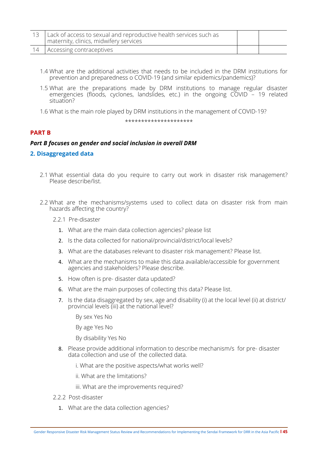| 13   Lack of access to sexual and reproductive health services such as<br>maternity, clinics, midwifery services |  |
|------------------------------------------------------------------------------------------------------------------|--|
| 14   Accessing contraceptives                                                                                    |  |

- 1.4 What are the additional activities that needs to be included in the DRM institutions for prevention and preparedness o COVID-19 (and similar epidemics/pandemics)?
- 1.5 What are the preparations made by DRM institutions to manage regular disaster emergencies (floods, cyclones, landslides, etc.) in the ongoing COVID – 19 related situation?
- 1.6 What is the main role played by DRM institutions in the management of COVID-19?

\*\*\*\*\*\*\*\*\*\*\*\*\*\*\*\*\*\*\*\*\*

## **PART B**

## *Part B focuses on gender and social inclusion in overall DRM*

## **2. Disaggregated data**

- 2.1 What essential data do you require to carry out work in disaster risk management? Please describe/list.
- 2.2 What are the mechanisms/systems used to collect data on disaster risk from main hazards affecting the country?
	- 2.2.1 Pre-disaster
		- 1. What are the main data collection agencies? please list
		- 2. Is the data collected for national/provincial/district/local levels?
		- 3. What are the databases relevant to disaster risk management? Please list.
		- 4. What are the mechanisms to make this data available/accessible for government agencies and stakeholders? Please describe.
		- 5. How often is pre- disaster data updated?
		- 6. What are the main purposes of collecting this data? Please list.
		- 7. Is the data disaggregated by sex, age and disability (i) at the local level (ii) at district/ provincial levels (iii) at the national level?

By sex Yes No

By age Yes No

By disability Yes No

8. Please provide additional information to describe mechanism/s for pre- disaster data collection and use of the collected data.

i. What are the positive aspects/what works well?

ii. What are the limitations?

- iii. What are the improvements required?
- 2.2.2 Post-disaster
	- 1. What are the data collection agencies?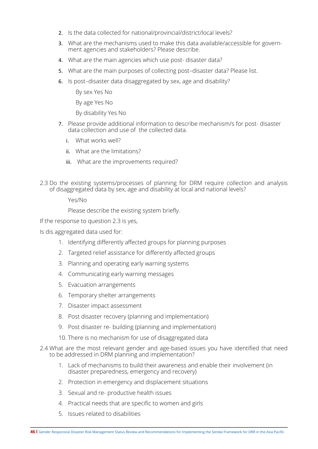- 2. Is the data collected for national/provincial/district/local levels?
- 3. What are the mechanisms used to make this data available/accessible for government agencies and stakeholders? Please describe.
- 4. What are the main agencies which use post- disaster data?
- 5. What are the main purposes of collecting post–disaster data? Please list.
- 6. Is post–disaster data disaggregated by sex, age and disability?

By sex Yes No

By age Yes No

By disability Yes No

- 7. Please provide additional information to describe mechanism/s for post- disaster data collection and use of the collected data.
	- i. What works well?
	- ii. What are the limitations?
	- iii. What are the improvements required?
- 2.3 Do the existing systems/processes of planning for DRM require collection and analysis of disaggregated data by sex, age and disability at local and national levels?

Yes/No

Please describe the existing system briefly.

If the response to question 2.3 is yes,

Is dis aggregated data used for:

- 1. Identifying differently affected groups for planning purposes
- 2. Targeted relief assistance for differently affected groups
- 3. Planning and operating early warning systems
- 4. Communicating early warning messages
- 5. Evacuation arrangements
- 6. Temporary shelter arrangements
- 7. Disaster impact assessment
- 8. Post disaster recovery (planning and implementation)
- 9. Post disaster re- building (planning and implementation)
- 10. There is no mechanism for use of disaggregated data
- 2.4 What are the most relevant gender and age-based issues you have identified that need to be addressed in DRM planning and implementation?
	- 1. Lack of mechanisms to build their awareness and enable their involvement (in disaster preparedness, emergency and recovery)
	- 2. Protection in emergency and displacement situations
	- 3. Sexual and re- productive health issues
	- 4. Practical needs that are specific to women and girls
	- 5. Issues related to disabilities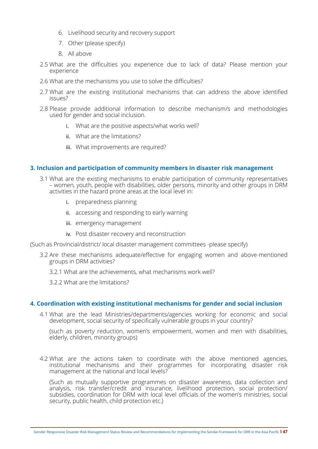- 6. Livelihood security and recovery support
- 7. Other (please specify)
- 8. All above
- 2.5 What are the difficulties you experience due to lack of data? Please mention your experience
- 2.6 What are the mechanisms you use to solve the difficulties?
- 2.7 What are the existing institutional mechanisms that can address the above identified issues?
- 2.8 Please provide additional information to describe mechanism/s and methodologies used for gender and social inclusion.
	- i. What are the positive aspects/what works well?
	- ii. What are the limitations?
	- iii. What improvements are required?

#### **3. Inclusion and participation of community members in disaster risk management**

- 3.1 What are the existing mechanisms to enable participation of community representatives – women, youth, people with disabilities, older persons, minority and other groups in DRM activities in the hazard prone areas at the local level in:
	- i. preparedness planning
	- ii. accessing and responding to early warning
	- iii. emergency management
	- iv. Post disaster recovery and reconstruction

(Such as Provincial/district/ local disaster management committees -please specify)

- 3.2 Are these mechanisms adequate/effective for engaging women and above-mentioned groups in DRM activities?
	- 3.2.1 What are the achievements, what mechanisms work well?
	- 3.2.2 What are the limitations?

## **4. Coordination with existing institutional mechanisms for gender and social inclusion**

4.1 What are the lead Ministries/departments/agencies working for economic and social development, social security of specifically vulnerable groups in your country?

(such as poverty reduction, women's empowerment, women and men with disabilities, elderly, children, minority groups)

4.2 What are the actions taken to coordinate with the above mentioned agencies, institutional mechanisms and their programmes for incorporating disaster risk management at the national and local levels?

(Such as mutually supportive programmes on disaster awareness, data collection and analysis, risk transfer/credit and insurance, livelihood protection, social protection/ subsidies, coordination for DRM with local level officials of the women's ministries, social security, public health, child protection etc.)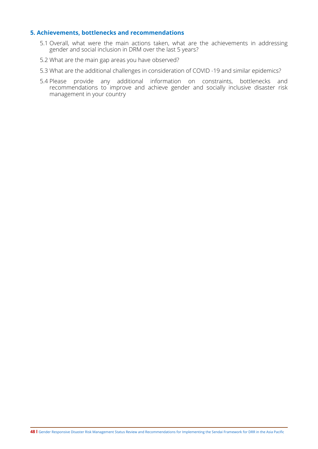## **5. Achievements, bottlenecks and recommendations**

- 5.1 Overall, what were the main actions taken, what are the achievements in addressing gender and social inclusion in DRM over the last 5 years?
- 5.2 What are the main gap areas you have observed?
- 5.3 What are the additional challenges in consideration of COVID -19 and similar epidemics?
- 5.4 Please provide any additional information on constraints, bottlenecks and recommendations to improve and achieve gender and socially inclusive disaster risk management in your country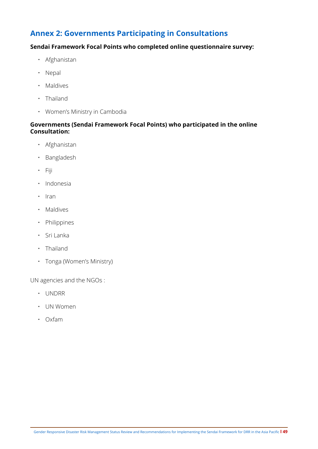## <span id="page-53-0"></span>**Annex 2: Governments Participating in Consultations**

## **Sendai Framework Focal Points who completed online questionnaire survey:**

- Afghanistan
- Nepal
- Maldives
- Thailand
- Women's Ministry in Cambodia

## **Governments (Sendai Framework Focal Points) who participated in the online Consultation:**

- Afghanistan
- Bangladesh
- Fiji
- Indonesia
- Iran
- Maldives
- Philippines
- Sri Lanka
- Thailand
- Tonga (Women's Ministry)

UN agencies and the NGOs :

- UNDRR
- UN Women
- Oxfam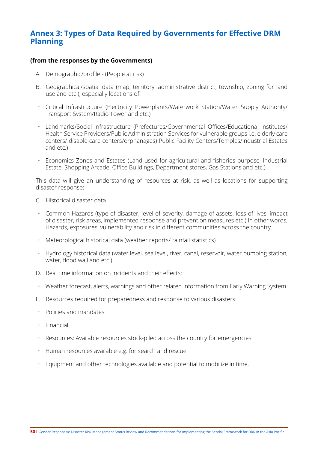## <span id="page-54-0"></span>**Annex 3: Types of Data Required by Governments for Effective DRM Planning**

## **(from the responses by the Governments)**

- A. Demographic/profile (People at risk)
- B. Geographical/spatial data (map, territory, administrative district, township, zoning for land use and etc.), especially locations of:
- Critical Infrastructure (Electricity Powerplants/Waterwork Station/Water Supply Authority/ Transport System/Radio Tower and etc.)
- Landmarks/Social infrastructure (Prefectures/Governmental Offices/Educational Institutes/ Health Service Providers/Public Administration Services for vulnerable groups i.e. elderly care centers/ disable care centers/orphanages) Public Facility Centers/Temples/Industrial Estates and etc.)
- Economics Zones and Estates (Land used for agricultural and fisheries purpose, Industrial Estate, Shopping Arcade, Office Buildings, Department stores, Gas Stations and etc.)

This data will give an understanding of resources at risk, as well as locations for supporting disaster response:

- C. Historical disaster data
- Common Hazards (type of disaster, level of severity, damage of assets, loss of lives, impact of disaster, risk areas, implemented response and prevention measures etc.) In other words, Hazards, exposures, vulnerability and risk in different communities across the country.
- Meteorological historical data (weather reports/ rainfall statistics)
- Hydrology historical data (water level, sea level, river, canal, reservoir, water pumping station, water, flood wall and etc.)
- D. Real time information on incidents and their effects:
- Weather forecast, alerts, warnings and other related information from Early Warning System.
- E. Resources required for preparedness and response to various disasters:
- Policies and mandates
- Financial
- Resources: Available resources stock-piled across the country for emergencies
- Human resources available e.g. for search and rescue
- Equipment and other technologies available and potential to mobilize in time.